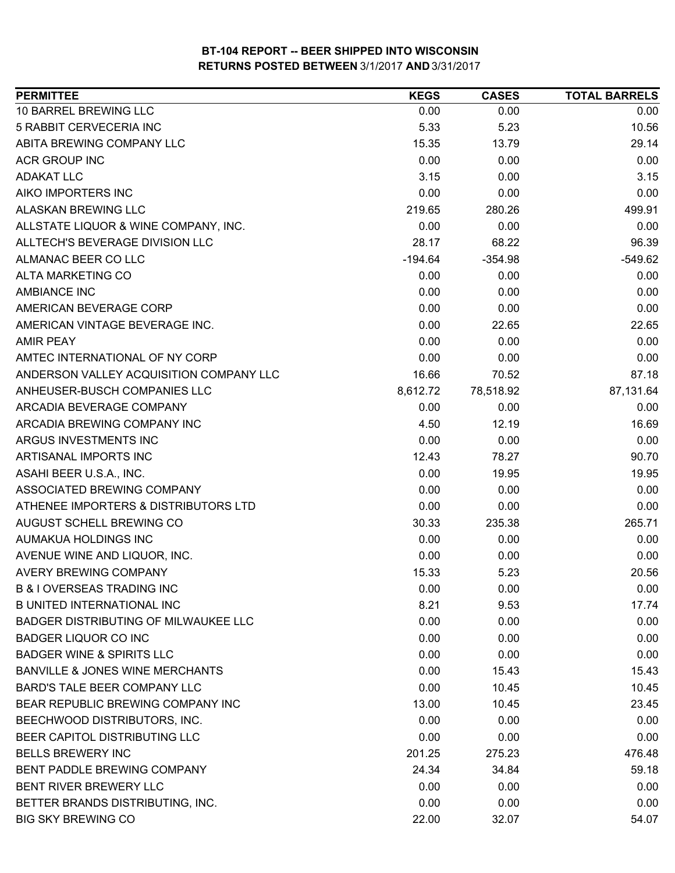| <b>PERMITTEE</b>                            | <b>KEGS</b> | <b>CASES</b> | <b>TOTAL BARRELS</b> |
|---------------------------------------------|-------------|--------------|----------------------|
| 10 BARREL BREWING LLC                       | 0.00        | 0.00         | 0.00                 |
| 5 RABBIT CERVECERIA INC                     | 5.33        | 5.23         | 10.56                |
| ABITA BREWING COMPANY LLC                   | 15.35       | 13.79        | 29.14                |
| <b>ACR GROUP INC</b>                        | 0.00        | 0.00         | 0.00                 |
| <b>ADAKAT LLC</b>                           | 3.15        | 0.00         | 3.15                 |
| AIKO IMPORTERS INC                          | 0.00        | 0.00         | 0.00                 |
| <b>ALASKAN BREWING LLC</b>                  | 219.65      | 280.26       | 499.91               |
| ALLSTATE LIQUOR & WINE COMPANY, INC.        | 0.00        | 0.00         | 0.00                 |
| ALLTECH'S BEVERAGE DIVISION LLC             | 28.17       | 68.22        | 96.39                |
| ALMANAC BEER CO LLC                         | $-194.64$   | $-354.98$    | $-549.62$            |
| <b>ALTA MARKETING CO</b>                    | 0.00        | 0.00         | 0.00                 |
| <b>AMBIANCE INC</b>                         | 0.00        | 0.00         | 0.00                 |
| AMERICAN BEVERAGE CORP                      | 0.00        | 0.00         | 0.00                 |
| AMERICAN VINTAGE BEVERAGE INC.              | 0.00        | 22.65        | 22.65                |
| <b>AMIR PEAY</b>                            | 0.00        | 0.00         | 0.00                 |
| AMTEC INTERNATIONAL OF NY CORP              | 0.00        | 0.00         | 0.00                 |
| ANDERSON VALLEY ACQUISITION COMPANY LLC     | 16.66       | 70.52        | 87.18                |
| ANHEUSER-BUSCH COMPANIES LLC                | 8,612.72    | 78,518.92    | 87,131.64            |
| ARCADIA BEVERAGE COMPANY                    | 0.00        | 0.00         | 0.00                 |
| ARCADIA BREWING COMPANY INC                 | 4.50        | 12.19        | 16.69                |
| ARGUS INVESTMENTS INC                       | 0.00        | 0.00         | 0.00                 |
| ARTISANAL IMPORTS INC                       | 12.43       | 78.27        | 90.70                |
| ASAHI BEER U.S.A., INC.                     | 0.00        | 19.95        | 19.95                |
| ASSOCIATED BREWING COMPANY                  | 0.00        | 0.00         | 0.00                 |
| ATHENEE IMPORTERS & DISTRIBUTORS LTD        | 0.00        | 0.00         | 0.00                 |
| AUGUST SCHELL BREWING CO                    | 30.33       | 235.38       | 265.71               |
| AUMAKUA HOLDINGS INC                        | 0.00        | 0.00         | 0.00                 |
| AVENUE WINE AND LIQUOR, INC.                | 0.00        | 0.00         | 0.00                 |
| <b>AVERY BREWING COMPANY</b>                | 15.33       | 5.23         | 20.56                |
| <b>B &amp; I OVERSEAS TRADING INC</b>       | 0.00        | 0.00         | 0.00                 |
| <b>B UNITED INTERNATIONAL INC</b>           | 8.21        | 9.53         | 17.74                |
| <b>BADGER DISTRIBUTING OF MILWAUKEE LLC</b> | 0.00        | 0.00         | 0.00                 |
| <b>BADGER LIQUOR CO INC</b>                 | 0.00        | 0.00         | 0.00                 |
| <b>BADGER WINE &amp; SPIRITS LLC</b>        | 0.00        | 0.00         | 0.00                 |
| <b>BANVILLE &amp; JONES WINE MERCHANTS</b>  | 0.00        | 15.43        | 15.43                |
| BARD'S TALE BEER COMPANY LLC                | 0.00        | 10.45        | 10.45                |
| BEAR REPUBLIC BREWING COMPANY INC           | 13.00       | 10.45        | 23.45                |
| BEECHWOOD DISTRIBUTORS, INC.                | 0.00        | 0.00         | 0.00                 |
| BEER CAPITOL DISTRIBUTING LLC               | 0.00        | 0.00         | 0.00                 |
| <b>BELLS BREWERY INC</b>                    | 201.25      | 275.23       | 476.48               |
| BENT PADDLE BREWING COMPANY                 | 24.34       | 34.84        | 59.18                |
| BENT RIVER BREWERY LLC                      | 0.00        | 0.00         | 0.00                 |
| BETTER BRANDS DISTRIBUTING, INC.            | 0.00        | 0.00         | 0.00                 |
| <b>BIG SKY BREWING CO</b>                   | 22.00       | 32.07        | 54.07                |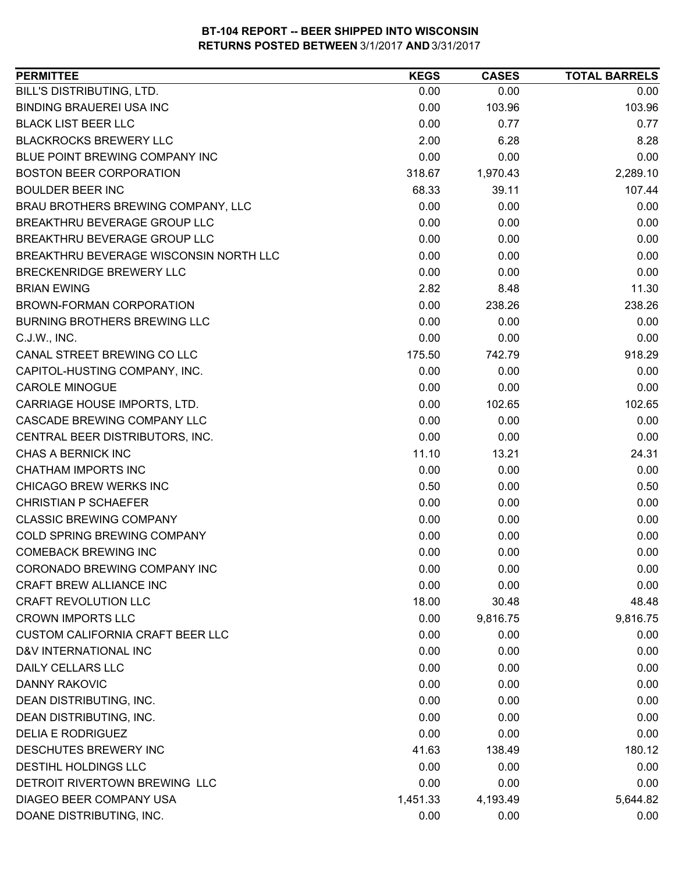| BILL'S DISTRIBUTING, LTD.<br>0.00<br>0.00<br>0.00<br><b>BINDING BRAUEREI USA INC</b><br>0.00<br>103.96<br>103.96<br><b>BLACK LIST BEER LLC</b><br>0.00<br>0.77<br>0.77<br><b>BLACKROCKS BREWERY LLC</b><br>2.00<br>8.28<br>6.28<br>BLUE POINT BREWING COMPANY INC<br>0.00<br>0.00<br>0.00<br><b>BOSTON BEER CORPORATION</b><br>318.67<br>2,289.10<br>1,970.43<br><b>BOULDER BEER INC</b><br>68.33<br>39.11<br>107.44<br>BRAU BROTHERS BREWING COMPANY, LLC<br>0.00<br>0.00<br>0.00<br>BREAKTHRU BEVERAGE GROUP LLC<br>0.00<br>0.00<br>0.00<br>BREAKTHRU BEVERAGE GROUP LLC<br>0.00<br>0.00<br>0.00<br>BREAKTHRU BEVERAGE WISCONSIN NORTH LLC<br>0.00<br>0.00<br>0.00<br><b>BRECKENRIDGE BREWERY LLC</b><br>0.00<br>0.00<br>0.00<br>2.82<br>11.30<br><b>BRIAN EWING</b><br>8.48<br><b>BROWN-FORMAN CORPORATION</b><br>0.00<br>238.26<br>238.26<br>0.00<br><b>BURNING BROTHERS BREWING LLC</b><br>0.00<br>0.00<br>0.00<br>0.00<br>C.J.W., INC.<br>0.00<br>175.50<br>742.79<br>918.29<br>CANAL STREET BREWING CO LLC<br>0.00<br>CAPITOL-HUSTING COMPANY, INC.<br>0.00<br>0.00<br><b>CAROLE MINOGUE</b><br>0.00<br>0.00<br>0.00<br>CARRIAGE HOUSE IMPORTS, LTD.<br>0.00<br>102.65<br>102.65<br>0.00<br>CASCADE BREWING COMPANY LLC<br>0.00<br>0.00<br>CENTRAL BEER DISTRIBUTORS, INC.<br>0.00<br>0.00<br>0.00<br>CHAS A BERNICK INC<br>11.10<br>24.31<br>13.21<br><b>CHATHAM IMPORTS INC</b><br>0.00<br>0.00<br>0.00<br>CHICAGO BREW WERKS INC<br>0.50<br>0.00<br>0.50<br><b>CHRISTIAN P SCHAEFER</b><br>0.00<br>0.00<br>0.00<br><b>CLASSIC BREWING COMPANY</b><br>0.00<br>0.00<br>0.00<br>COLD SPRING BREWING COMPANY<br>0.00<br>0.00<br>0.00<br>0.00<br><b>COMEBACK BREWING INC</b><br>0.00<br>0.00<br>CORONADO BREWING COMPANY INC<br>0.00<br>0.00<br>0.00<br>0.00<br>CRAFT BREW ALLIANCE INC<br>0.00<br>0.00<br><b>CRAFT REVOLUTION LLC</b><br>18.00<br>30.48<br>48.48<br><b>CROWN IMPORTS LLC</b><br>0.00<br>9,816.75<br>9,816.75<br><b>CUSTOM CALIFORNIA CRAFT BEER LLC</b><br>0.00<br>0.00<br>0.00<br>D&V INTERNATIONAL INC<br>0.00<br>0.00<br>0.00<br><b>DAILY CELLARS LLC</b><br>0.00<br>0.00<br>0.00<br><b>DANNY RAKOVIC</b><br>0.00<br>0.00<br>0.00<br>0.00<br>DEAN DISTRIBUTING, INC.<br>0.00<br>0.00<br>DEAN DISTRIBUTING, INC.<br>0.00<br>0.00<br>0.00<br><b>DELIA E RODRIGUEZ</b><br>0.00<br>0.00<br>0.00<br>DESCHUTES BREWERY INC<br>180.12<br>41.63<br>138.49<br><b>DESTIHL HOLDINGS LLC</b><br>0.00<br>0.00<br>0.00<br>DETROIT RIVERTOWN BREWING LLC<br>0.00<br>0.00<br>0.00<br>DIAGEO BEER COMPANY USA<br>5,644.82<br>1,451.33<br>4,193.49<br>DOANE DISTRIBUTING, INC.<br>0.00<br>0.00<br>0.00 | <b>PERMITTEE</b> | <b>KEGS</b> | <b>CASES</b> | <b>TOTAL BARRELS</b> |
|---------------------------------------------------------------------------------------------------------------------------------------------------------------------------------------------------------------------------------------------------------------------------------------------------------------------------------------------------------------------------------------------------------------------------------------------------------------------------------------------------------------------------------------------------------------------------------------------------------------------------------------------------------------------------------------------------------------------------------------------------------------------------------------------------------------------------------------------------------------------------------------------------------------------------------------------------------------------------------------------------------------------------------------------------------------------------------------------------------------------------------------------------------------------------------------------------------------------------------------------------------------------------------------------------------------------------------------------------------------------------------------------------------------------------------------------------------------------------------------------------------------------------------------------------------------------------------------------------------------------------------------------------------------------------------------------------------------------------------------------------------------------------------------------------------------------------------------------------------------------------------------------------------------------------------------------------------------------------------------------------------------------------------------------------------------------------------------------------------------------------------------------------------------------------------------------------------------------------------------------------------------------------------------------------------------------------------------------------------------------------------------------------------------------------------------------------------------------------------------------------------------------------------------------------------------------------------------------------------------|------------------|-------------|--------------|----------------------|
|                                                                                                                                                                                                                                                                                                                                                                                                                                                                                                                                                                                                                                                                                                                                                                                                                                                                                                                                                                                                                                                                                                                                                                                                                                                                                                                                                                                                                                                                                                                                                                                                                                                                                                                                                                                                                                                                                                                                                                                                                                                                                                                                                                                                                                                                                                                                                                                                                                                                                                                                                                                                               |                  |             |              |                      |
|                                                                                                                                                                                                                                                                                                                                                                                                                                                                                                                                                                                                                                                                                                                                                                                                                                                                                                                                                                                                                                                                                                                                                                                                                                                                                                                                                                                                                                                                                                                                                                                                                                                                                                                                                                                                                                                                                                                                                                                                                                                                                                                                                                                                                                                                                                                                                                                                                                                                                                                                                                                                               |                  |             |              |                      |
|                                                                                                                                                                                                                                                                                                                                                                                                                                                                                                                                                                                                                                                                                                                                                                                                                                                                                                                                                                                                                                                                                                                                                                                                                                                                                                                                                                                                                                                                                                                                                                                                                                                                                                                                                                                                                                                                                                                                                                                                                                                                                                                                                                                                                                                                                                                                                                                                                                                                                                                                                                                                               |                  |             |              |                      |
|                                                                                                                                                                                                                                                                                                                                                                                                                                                                                                                                                                                                                                                                                                                                                                                                                                                                                                                                                                                                                                                                                                                                                                                                                                                                                                                                                                                                                                                                                                                                                                                                                                                                                                                                                                                                                                                                                                                                                                                                                                                                                                                                                                                                                                                                                                                                                                                                                                                                                                                                                                                                               |                  |             |              |                      |
|                                                                                                                                                                                                                                                                                                                                                                                                                                                                                                                                                                                                                                                                                                                                                                                                                                                                                                                                                                                                                                                                                                                                                                                                                                                                                                                                                                                                                                                                                                                                                                                                                                                                                                                                                                                                                                                                                                                                                                                                                                                                                                                                                                                                                                                                                                                                                                                                                                                                                                                                                                                                               |                  |             |              |                      |
|                                                                                                                                                                                                                                                                                                                                                                                                                                                                                                                                                                                                                                                                                                                                                                                                                                                                                                                                                                                                                                                                                                                                                                                                                                                                                                                                                                                                                                                                                                                                                                                                                                                                                                                                                                                                                                                                                                                                                                                                                                                                                                                                                                                                                                                                                                                                                                                                                                                                                                                                                                                                               |                  |             |              |                      |
|                                                                                                                                                                                                                                                                                                                                                                                                                                                                                                                                                                                                                                                                                                                                                                                                                                                                                                                                                                                                                                                                                                                                                                                                                                                                                                                                                                                                                                                                                                                                                                                                                                                                                                                                                                                                                                                                                                                                                                                                                                                                                                                                                                                                                                                                                                                                                                                                                                                                                                                                                                                                               |                  |             |              |                      |
|                                                                                                                                                                                                                                                                                                                                                                                                                                                                                                                                                                                                                                                                                                                                                                                                                                                                                                                                                                                                                                                                                                                                                                                                                                                                                                                                                                                                                                                                                                                                                                                                                                                                                                                                                                                                                                                                                                                                                                                                                                                                                                                                                                                                                                                                                                                                                                                                                                                                                                                                                                                                               |                  |             |              |                      |
|                                                                                                                                                                                                                                                                                                                                                                                                                                                                                                                                                                                                                                                                                                                                                                                                                                                                                                                                                                                                                                                                                                                                                                                                                                                                                                                                                                                                                                                                                                                                                                                                                                                                                                                                                                                                                                                                                                                                                                                                                                                                                                                                                                                                                                                                                                                                                                                                                                                                                                                                                                                                               |                  |             |              |                      |
|                                                                                                                                                                                                                                                                                                                                                                                                                                                                                                                                                                                                                                                                                                                                                                                                                                                                                                                                                                                                                                                                                                                                                                                                                                                                                                                                                                                                                                                                                                                                                                                                                                                                                                                                                                                                                                                                                                                                                                                                                                                                                                                                                                                                                                                                                                                                                                                                                                                                                                                                                                                                               |                  |             |              |                      |
|                                                                                                                                                                                                                                                                                                                                                                                                                                                                                                                                                                                                                                                                                                                                                                                                                                                                                                                                                                                                                                                                                                                                                                                                                                                                                                                                                                                                                                                                                                                                                                                                                                                                                                                                                                                                                                                                                                                                                                                                                                                                                                                                                                                                                                                                                                                                                                                                                                                                                                                                                                                                               |                  |             |              |                      |
|                                                                                                                                                                                                                                                                                                                                                                                                                                                                                                                                                                                                                                                                                                                                                                                                                                                                                                                                                                                                                                                                                                                                                                                                                                                                                                                                                                                                                                                                                                                                                                                                                                                                                                                                                                                                                                                                                                                                                                                                                                                                                                                                                                                                                                                                                                                                                                                                                                                                                                                                                                                                               |                  |             |              |                      |
|                                                                                                                                                                                                                                                                                                                                                                                                                                                                                                                                                                                                                                                                                                                                                                                                                                                                                                                                                                                                                                                                                                                                                                                                                                                                                                                                                                                                                                                                                                                                                                                                                                                                                                                                                                                                                                                                                                                                                                                                                                                                                                                                                                                                                                                                                                                                                                                                                                                                                                                                                                                                               |                  |             |              |                      |
|                                                                                                                                                                                                                                                                                                                                                                                                                                                                                                                                                                                                                                                                                                                                                                                                                                                                                                                                                                                                                                                                                                                                                                                                                                                                                                                                                                                                                                                                                                                                                                                                                                                                                                                                                                                                                                                                                                                                                                                                                                                                                                                                                                                                                                                                                                                                                                                                                                                                                                                                                                                                               |                  |             |              |                      |
|                                                                                                                                                                                                                                                                                                                                                                                                                                                                                                                                                                                                                                                                                                                                                                                                                                                                                                                                                                                                                                                                                                                                                                                                                                                                                                                                                                                                                                                                                                                                                                                                                                                                                                                                                                                                                                                                                                                                                                                                                                                                                                                                                                                                                                                                                                                                                                                                                                                                                                                                                                                                               |                  |             |              |                      |
|                                                                                                                                                                                                                                                                                                                                                                                                                                                                                                                                                                                                                                                                                                                                                                                                                                                                                                                                                                                                                                                                                                                                                                                                                                                                                                                                                                                                                                                                                                                                                                                                                                                                                                                                                                                                                                                                                                                                                                                                                                                                                                                                                                                                                                                                                                                                                                                                                                                                                                                                                                                                               |                  |             |              |                      |
|                                                                                                                                                                                                                                                                                                                                                                                                                                                                                                                                                                                                                                                                                                                                                                                                                                                                                                                                                                                                                                                                                                                                                                                                                                                                                                                                                                                                                                                                                                                                                                                                                                                                                                                                                                                                                                                                                                                                                                                                                                                                                                                                                                                                                                                                                                                                                                                                                                                                                                                                                                                                               |                  |             |              |                      |
|                                                                                                                                                                                                                                                                                                                                                                                                                                                                                                                                                                                                                                                                                                                                                                                                                                                                                                                                                                                                                                                                                                                                                                                                                                                                                                                                                                                                                                                                                                                                                                                                                                                                                                                                                                                                                                                                                                                                                                                                                                                                                                                                                                                                                                                                                                                                                                                                                                                                                                                                                                                                               |                  |             |              |                      |
|                                                                                                                                                                                                                                                                                                                                                                                                                                                                                                                                                                                                                                                                                                                                                                                                                                                                                                                                                                                                                                                                                                                                                                                                                                                                                                                                                                                                                                                                                                                                                                                                                                                                                                                                                                                                                                                                                                                                                                                                                                                                                                                                                                                                                                                                                                                                                                                                                                                                                                                                                                                                               |                  |             |              |                      |
|                                                                                                                                                                                                                                                                                                                                                                                                                                                                                                                                                                                                                                                                                                                                                                                                                                                                                                                                                                                                                                                                                                                                                                                                                                                                                                                                                                                                                                                                                                                                                                                                                                                                                                                                                                                                                                                                                                                                                                                                                                                                                                                                                                                                                                                                                                                                                                                                                                                                                                                                                                                                               |                  |             |              |                      |
|                                                                                                                                                                                                                                                                                                                                                                                                                                                                                                                                                                                                                                                                                                                                                                                                                                                                                                                                                                                                                                                                                                                                                                                                                                                                                                                                                                                                                                                                                                                                                                                                                                                                                                                                                                                                                                                                                                                                                                                                                                                                                                                                                                                                                                                                                                                                                                                                                                                                                                                                                                                                               |                  |             |              |                      |
|                                                                                                                                                                                                                                                                                                                                                                                                                                                                                                                                                                                                                                                                                                                                                                                                                                                                                                                                                                                                                                                                                                                                                                                                                                                                                                                                                                                                                                                                                                                                                                                                                                                                                                                                                                                                                                                                                                                                                                                                                                                                                                                                                                                                                                                                                                                                                                                                                                                                                                                                                                                                               |                  |             |              |                      |
|                                                                                                                                                                                                                                                                                                                                                                                                                                                                                                                                                                                                                                                                                                                                                                                                                                                                                                                                                                                                                                                                                                                                                                                                                                                                                                                                                                                                                                                                                                                                                                                                                                                                                                                                                                                                                                                                                                                                                                                                                                                                                                                                                                                                                                                                                                                                                                                                                                                                                                                                                                                                               |                  |             |              |                      |
|                                                                                                                                                                                                                                                                                                                                                                                                                                                                                                                                                                                                                                                                                                                                                                                                                                                                                                                                                                                                                                                                                                                                                                                                                                                                                                                                                                                                                                                                                                                                                                                                                                                                                                                                                                                                                                                                                                                                                                                                                                                                                                                                                                                                                                                                                                                                                                                                                                                                                                                                                                                                               |                  |             |              |                      |
|                                                                                                                                                                                                                                                                                                                                                                                                                                                                                                                                                                                                                                                                                                                                                                                                                                                                                                                                                                                                                                                                                                                                                                                                                                                                                                                                                                                                                                                                                                                                                                                                                                                                                                                                                                                                                                                                                                                                                                                                                                                                                                                                                                                                                                                                                                                                                                                                                                                                                                                                                                                                               |                  |             |              |                      |
|                                                                                                                                                                                                                                                                                                                                                                                                                                                                                                                                                                                                                                                                                                                                                                                                                                                                                                                                                                                                                                                                                                                                                                                                                                                                                                                                                                                                                                                                                                                                                                                                                                                                                                                                                                                                                                                                                                                                                                                                                                                                                                                                                                                                                                                                                                                                                                                                                                                                                                                                                                                                               |                  |             |              |                      |
|                                                                                                                                                                                                                                                                                                                                                                                                                                                                                                                                                                                                                                                                                                                                                                                                                                                                                                                                                                                                                                                                                                                                                                                                                                                                                                                                                                                                                                                                                                                                                                                                                                                                                                                                                                                                                                                                                                                                                                                                                                                                                                                                                                                                                                                                                                                                                                                                                                                                                                                                                                                                               |                  |             |              |                      |
|                                                                                                                                                                                                                                                                                                                                                                                                                                                                                                                                                                                                                                                                                                                                                                                                                                                                                                                                                                                                                                                                                                                                                                                                                                                                                                                                                                                                                                                                                                                                                                                                                                                                                                                                                                                                                                                                                                                                                                                                                                                                                                                                                                                                                                                                                                                                                                                                                                                                                                                                                                                                               |                  |             |              |                      |
|                                                                                                                                                                                                                                                                                                                                                                                                                                                                                                                                                                                                                                                                                                                                                                                                                                                                                                                                                                                                                                                                                                                                                                                                                                                                                                                                                                                                                                                                                                                                                                                                                                                                                                                                                                                                                                                                                                                                                                                                                                                                                                                                                                                                                                                                                                                                                                                                                                                                                                                                                                                                               |                  |             |              |                      |
|                                                                                                                                                                                                                                                                                                                                                                                                                                                                                                                                                                                                                                                                                                                                                                                                                                                                                                                                                                                                                                                                                                                                                                                                                                                                                                                                                                                                                                                                                                                                                                                                                                                                                                                                                                                                                                                                                                                                                                                                                                                                                                                                                                                                                                                                                                                                                                                                                                                                                                                                                                                                               |                  |             |              |                      |
|                                                                                                                                                                                                                                                                                                                                                                                                                                                                                                                                                                                                                                                                                                                                                                                                                                                                                                                                                                                                                                                                                                                                                                                                                                                                                                                                                                                                                                                                                                                                                                                                                                                                                                                                                                                                                                                                                                                                                                                                                                                                                                                                                                                                                                                                                                                                                                                                                                                                                                                                                                                                               |                  |             |              |                      |
|                                                                                                                                                                                                                                                                                                                                                                                                                                                                                                                                                                                                                                                                                                                                                                                                                                                                                                                                                                                                                                                                                                                                                                                                                                                                                                                                                                                                                                                                                                                                                                                                                                                                                                                                                                                                                                                                                                                                                                                                                                                                                                                                                                                                                                                                                                                                                                                                                                                                                                                                                                                                               |                  |             |              |                      |
|                                                                                                                                                                                                                                                                                                                                                                                                                                                                                                                                                                                                                                                                                                                                                                                                                                                                                                                                                                                                                                                                                                                                                                                                                                                                                                                                                                                                                                                                                                                                                                                                                                                                                                                                                                                                                                                                                                                                                                                                                                                                                                                                                                                                                                                                                                                                                                                                                                                                                                                                                                                                               |                  |             |              |                      |
|                                                                                                                                                                                                                                                                                                                                                                                                                                                                                                                                                                                                                                                                                                                                                                                                                                                                                                                                                                                                                                                                                                                                                                                                                                                                                                                                                                                                                                                                                                                                                                                                                                                                                                                                                                                                                                                                                                                                                                                                                                                                                                                                                                                                                                                                                                                                                                                                                                                                                                                                                                                                               |                  |             |              |                      |
|                                                                                                                                                                                                                                                                                                                                                                                                                                                                                                                                                                                                                                                                                                                                                                                                                                                                                                                                                                                                                                                                                                                                                                                                                                                                                                                                                                                                                                                                                                                                                                                                                                                                                                                                                                                                                                                                                                                                                                                                                                                                                                                                                                                                                                                                                                                                                                                                                                                                                                                                                                                                               |                  |             |              |                      |
|                                                                                                                                                                                                                                                                                                                                                                                                                                                                                                                                                                                                                                                                                                                                                                                                                                                                                                                                                                                                                                                                                                                                                                                                                                                                                                                                                                                                                                                                                                                                                                                                                                                                                                                                                                                                                                                                                                                                                                                                                                                                                                                                                                                                                                                                                                                                                                                                                                                                                                                                                                                                               |                  |             |              |                      |
|                                                                                                                                                                                                                                                                                                                                                                                                                                                                                                                                                                                                                                                                                                                                                                                                                                                                                                                                                                                                                                                                                                                                                                                                                                                                                                                                                                                                                                                                                                                                                                                                                                                                                                                                                                                                                                                                                                                                                                                                                                                                                                                                                                                                                                                                                                                                                                                                                                                                                                                                                                                                               |                  |             |              |                      |
|                                                                                                                                                                                                                                                                                                                                                                                                                                                                                                                                                                                                                                                                                                                                                                                                                                                                                                                                                                                                                                                                                                                                                                                                                                                                                                                                                                                                                                                                                                                                                                                                                                                                                                                                                                                                                                                                                                                                                                                                                                                                                                                                                                                                                                                                                                                                                                                                                                                                                                                                                                                                               |                  |             |              |                      |
|                                                                                                                                                                                                                                                                                                                                                                                                                                                                                                                                                                                                                                                                                                                                                                                                                                                                                                                                                                                                                                                                                                                                                                                                                                                                                                                                                                                                                                                                                                                                                                                                                                                                                                                                                                                                                                                                                                                                                                                                                                                                                                                                                                                                                                                                                                                                                                                                                                                                                                                                                                                                               |                  |             |              |                      |
|                                                                                                                                                                                                                                                                                                                                                                                                                                                                                                                                                                                                                                                                                                                                                                                                                                                                                                                                                                                                                                                                                                                                                                                                                                                                                                                                                                                                                                                                                                                                                                                                                                                                                                                                                                                                                                                                                                                                                                                                                                                                                                                                                                                                                                                                                                                                                                                                                                                                                                                                                                                                               |                  |             |              |                      |
|                                                                                                                                                                                                                                                                                                                                                                                                                                                                                                                                                                                                                                                                                                                                                                                                                                                                                                                                                                                                                                                                                                                                                                                                                                                                                                                                                                                                                                                                                                                                                                                                                                                                                                                                                                                                                                                                                                                                                                                                                                                                                                                                                                                                                                                                                                                                                                                                                                                                                                                                                                                                               |                  |             |              |                      |
|                                                                                                                                                                                                                                                                                                                                                                                                                                                                                                                                                                                                                                                                                                                                                                                                                                                                                                                                                                                                                                                                                                                                                                                                                                                                                                                                                                                                                                                                                                                                                                                                                                                                                                                                                                                                                                                                                                                                                                                                                                                                                                                                                                                                                                                                                                                                                                                                                                                                                                                                                                                                               |                  |             |              |                      |
|                                                                                                                                                                                                                                                                                                                                                                                                                                                                                                                                                                                                                                                                                                                                                                                                                                                                                                                                                                                                                                                                                                                                                                                                                                                                                                                                                                                                                                                                                                                                                                                                                                                                                                                                                                                                                                                                                                                                                                                                                                                                                                                                                                                                                                                                                                                                                                                                                                                                                                                                                                                                               |                  |             |              |                      |
|                                                                                                                                                                                                                                                                                                                                                                                                                                                                                                                                                                                                                                                                                                                                                                                                                                                                                                                                                                                                                                                                                                                                                                                                                                                                                                                                                                                                                                                                                                                                                                                                                                                                                                                                                                                                                                                                                                                                                                                                                                                                                                                                                                                                                                                                                                                                                                                                                                                                                                                                                                                                               |                  |             |              |                      |
|                                                                                                                                                                                                                                                                                                                                                                                                                                                                                                                                                                                                                                                                                                                                                                                                                                                                                                                                                                                                                                                                                                                                                                                                                                                                                                                                                                                                                                                                                                                                                                                                                                                                                                                                                                                                                                                                                                                                                                                                                                                                                                                                                                                                                                                                                                                                                                                                                                                                                                                                                                                                               |                  |             |              |                      |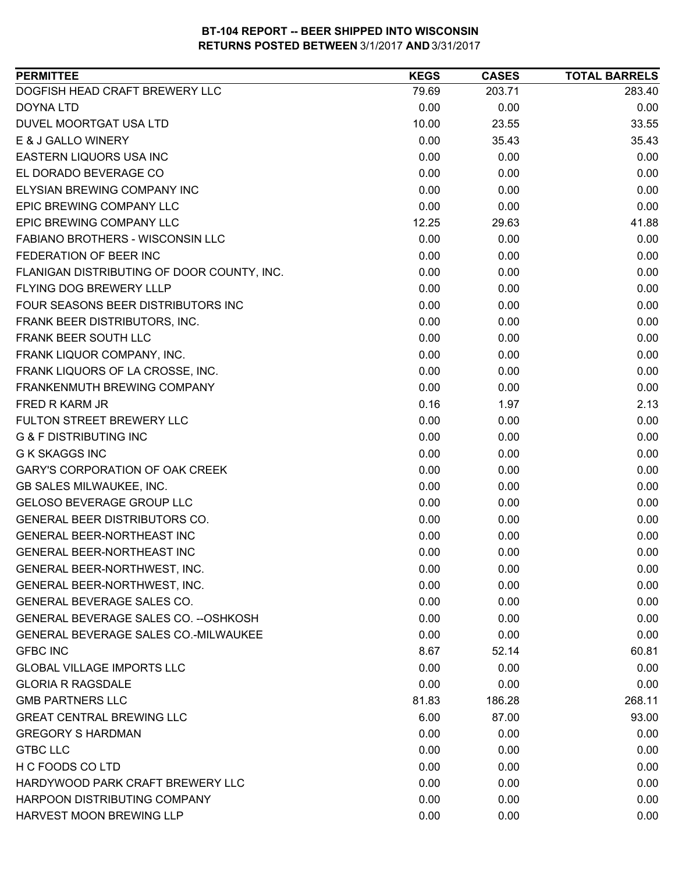| <b>PERMITTEE</b>                            | <b>KEGS</b> | <b>CASES</b> | <b>TOTAL BARRELS</b> |
|---------------------------------------------|-------------|--------------|----------------------|
| DOGFISH HEAD CRAFT BREWERY LLC              | 79.69       | 203.71       | 283.40               |
| <b>DOYNA LTD</b>                            | 0.00        | 0.00         | 0.00                 |
| DUVEL MOORTGAT USA LTD                      | 10.00       | 23.55        | 33.55                |
| E & J GALLO WINERY                          | 0.00        | 35.43        | 35.43                |
| EASTERN LIQUORS USA INC                     | 0.00        | 0.00         | 0.00                 |
| EL DORADO BEVERAGE CO                       | 0.00        | 0.00         | 0.00                 |
| ELYSIAN BREWING COMPANY INC                 | 0.00        | 0.00         | 0.00                 |
| <b>EPIC BREWING COMPANY LLC</b>             | 0.00        | 0.00         | 0.00                 |
| EPIC BREWING COMPANY LLC                    | 12.25       | 29.63        | 41.88                |
| FABIANO BROTHERS - WISCONSIN LLC            | 0.00        | 0.00         | 0.00                 |
| FEDERATION OF BEER INC                      | 0.00        | 0.00         | 0.00                 |
| FLANIGAN DISTRIBUTING OF DOOR COUNTY, INC.  | 0.00        | 0.00         | 0.00                 |
| FLYING DOG BREWERY LLLP                     | 0.00        | 0.00         | 0.00                 |
| FOUR SEASONS BEER DISTRIBUTORS INC          | 0.00        | 0.00         | 0.00                 |
| FRANK BEER DISTRIBUTORS, INC.               | 0.00        | 0.00         | 0.00                 |
| FRANK BEER SOUTH LLC                        | 0.00        | 0.00         | 0.00                 |
| FRANK LIQUOR COMPANY, INC.                  | 0.00        | 0.00         | 0.00                 |
| FRANK LIQUORS OF LA CROSSE, INC.            | 0.00        | 0.00         | 0.00                 |
| FRANKENMUTH BREWING COMPANY                 | 0.00        | 0.00         | 0.00                 |
| FRED R KARM JR                              | 0.16        | 1.97         | 2.13                 |
| FULTON STREET BREWERY LLC                   | 0.00        | 0.00         | 0.00                 |
| <b>G &amp; F DISTRIBUTING INC</b>           | 0.00        | 0.00         | 0.00                 |
| <b>G K SKAGGS INC</b>                       | 0.00        | 0.00         | 0.00                 |
| GARY'S CORPORATION OF OAK CREEK             | 0.00        | 0.00         | 0.00                 |
| GB SALES MILWAUKEE, INC.                    | 0.00        | 0.00         | 0.00                 |
| GELOSO BEVERAGE GROUP LLC                   | 0.00        | 0.00         | 0.00                 |
| GENERAL BEER DISTRIBUTORS CO.               | 0.00        | 0.00         | 0.00                 |
| <b>GENERAL BEER-NORTHEAST INC</b>           | 0.00        | 0.00         | 0.00                 |
| GENERAL BEER-NORTHEAST INC                  | 0.00        | 0.00         | 0.00                 |
| GENERAL BEER-NORTHWEST, INC.                | 0.00        | 0.00         | 0.00                 |
| GENERAL BEER-NORTHWEST, INC.                | 0.00        | 0.00         | 0.00                 |
| GENERAL BEVERAGE SALES CO.                  | 0.00        | 0.00         | 0.00                 |
| GENERAL BEVERAGE SALES CO. -- OSHKOSH       | 0.00        | 0.00         | 0.00                 |
| <b>GENERAL BEVERAGE SALES CO.-MILWAUKEE</b> | 0.00        | 0.00         | 0.00                 |
| <b>GFBC INC</b>                             | 8.67        | 52.14        | 60.81                |
| <b>GLOBAL VILLAGE IMPORTS LLC</b>           | 0.00        | 0.00         | 0.00                 |
| <b>GLORIA R RAGSDALE</b>                    | 0.00        | 0.00         | 0.00                 |
| <b>GMB PARTNERS LLC</b>                     | 81.83       | 186.28       | 268.11               |
| <b>GREAT CENTRAL BREWING LLC</b>            | 6.00        | 87.00        | 93.00                |
| <b>GREGORY S HARDMAN</b>                    | 0.00        | 0.00         | 0.00                 |
| <b>GTBC LLC</b>                             | 0.00        | 0.00         | 0.00                 |
| H C FOODS CO LTD                            | 0.00        | 0.00         | 0.00                 |
| HARDYWOOD PARK CRAFT BREWERY LLC            | 0.00        | 0.00         | 0.00                 |
| HARPOON DISTRIBUTING COMPANY                | 0.00        | 0.00         | 0.00                 |
| HARVEST MOON BREWING LLP                    | 0.00        | 0.00         | 0.00                 |
|                                             |             |              |                      |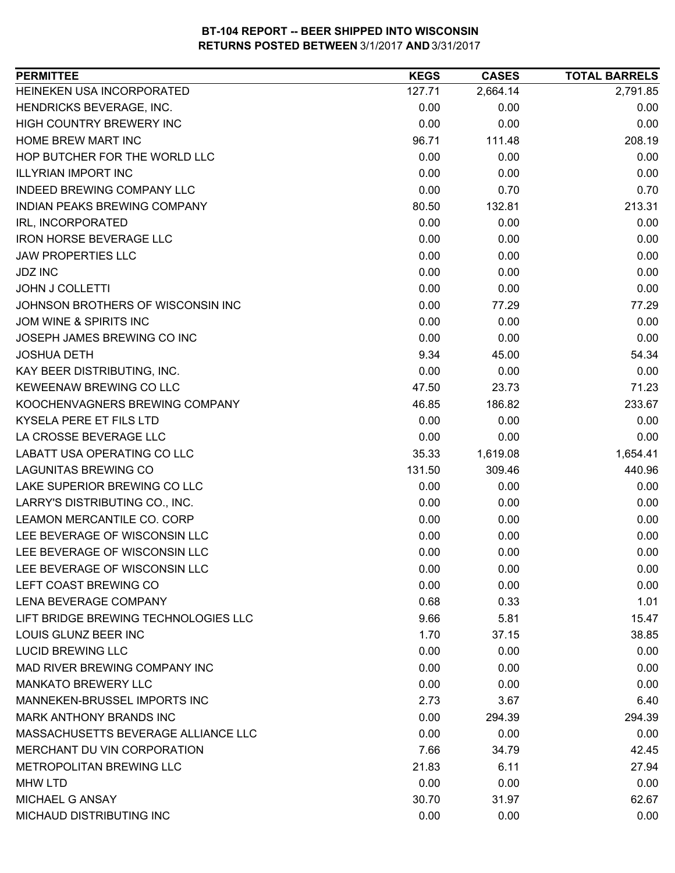| HEINEKEN USA INCORPORATED<br>2,664.14<br>2,791.85<br>127.71<br>HENDRICKS BEVERAGE, INC.<br>0.00<br>0.00<br>0.00<br>HIGH COUNTRY BREWERY INC<br>0.00<br>0.00<br>0.00<br>HOME BREW MART INC<br>96.71<br>111.48<br>208.19<br>HOP BUTCHER FOR THE WORLD LLC<br>0.00<br>0.00<br>0.00<br><b>ILLYRIAN IMPORT INC</b><br>0.00<br>0.00<br>0.00<br><b>INDEED BREWING COMPANY LLC</b><br>0.00<br>0.70<br>0.70<br>213.31<br><b>INDIAN PEAKS BREWING COMPANY</b><br>80.50<br>132.81<br>0.00<br>0.00<br>0.00<br>IRL, INCORPORATED<br><b>IRON HORSE BEVERAGE LLC</b><br>0.00<br>0.00<br>0.00<br><b>JAW PROPERTIES LLC</b><br>0.00<br>0.00<br>0.00<br>0.00<br><b>JDZ INC</b><br>0.00<br>0.00<br>0.00<br>0.00<br>0.00<br><b>JOHN J COLLETTI</b><br>JOHNSON BROTHERS OF WISCONSIN INC<br>0.00<br>77.29<br>77.29<br><b>JOM WINE &amp; SPIRITS INC</b><br>0.00<br>0.00<br>0.00<br>0.00<br>0.00<br>JOSEPH JAMES BREWING CO INC<br>0.00<br>9.34<br>54.34<br><b>JOSHUA DETH</b><br>45.00<br>KAY BEER DISTRIBUTING, INC.<br>0.00<br>0.00<br>0.00<br><b>KEWEENAW BREWING CO LLC</b><br>71.23<br>47.50<br>23.73<br>233.67<br>KOOCHENVAGNERS BREWING COMPANY<br>46.85<br>186.82<br>KYSELA PERE ET FILS LTD<br>0.00<br>0.00<br>0.00<br>LA CROSSE BEVERAGE LLC<br>0.00<br>0.00<br>0.00<br>LABATT USA OPERATING CO LLC<br>35.33<br>1,619.08<br>1,654.41<br><b>LAGUNITAS BREWING CO</b><br>309.46<br>440.96<br>131.50<br>0.00<br>LAKE SUPERIOR BREWING CO LLC<br>0.00<br>0.00<br>LARRY'S DISTRIBUTING CO., INC.<br>0.00<br>0.00<br>0.00<br>LEAMON MERCANTILE CO. CORP<br>0.00<br>0.00<br>0.00<br>LEE BEVERAGE OF WISCONSIN LLC<br>0.00<br>0.00<br>0.00<br>LEE BEVERAGE OF WISCONSIN LLC<br>0.00<br>0.00<br>0.00<br>LEE BEVERAGE OF WISCONSIN LLC<br>0.00<br>0.00<br>0.00<br>0.00<br>LEFT COAST BREWING CO<br>0.00<br>0.00<br><b>LENA BEVERAGE COMPANY</b><br>0.68<br>1.01<br>0.33<br>LIFT BRIDGE BREWING TECHNOLOGIES LLC<br>9.66<br>5.81<br>15.47<br>LOUIS GLUNZ BEER INC<br>1.70<br>37.15<br>38.85<br><b>LUCID BREWING LLC</b><br>0.00<br>0.00<br>0.00<br>MAD RIVER BREWING COMPANY INC<br>0.00<br>0.00<br>0.00<br><b>MANKATO BREWERY LLC</b><br>0.00<br>0.00<br>0.00<br>MANNEKEN-BRUSSEL IMPORTS INC<br>2.73<br>6.40<br>3.67<br>MARK ANTHONY BRANDS INC<br>294.39<br>0.00<br>294.39<br>MASSACHUSETTS BEVERAGE ALLIANCE LLC<br>0.00<br>0.00<br>0.00<br>MERCHANT DU VIN CORPORATION<br>7.66<br>42.45<br>34.79<br>METROPOLITAN BREWING LLC<br>21.83<br>6.11<br>27.94<br><b>MHW LTD</b><br>0.00<br>0.00<br>0.00<br>62.67<br>MICHAEL G ANSAY<br>30.70<br>31.97<br>MICHAUD DISTRIBUTING INC<br>0.00<br>0.00<br>0.00 | <b>PERMITTEE</b> | <b>KEGS</b> | <b>CASES</b> | <b>TOTAL BARRELS</b> |
|-----------------------------------------------------------------------------------------------------------------------------------------------------------------------------------------------------------------------------------------------------------------------------------------------------------------------------------------------------------------------------------------------------------------------------------------------------------------------------------------------------------------------------------------------------------------------------------------------------------------------------------------------------------------------------------------------------------------------------------------------------------------------------------------------------------------------------------------------------------------------------------------------------------------------------------------------------------------------------------------------------------------------------------------------------------------------------------------------------------------------------------------------------------------------------------------------------------------------------------------------------------------------------------------------------------------------------------------------------------------------------------------------------------------------------------------------------------------------------------------------------------------------------------------------------------------------------------------------------------------------------------------------------------------------------------------------------------------------------------------------------------------------------------------------------------------------------------------------------------------------------------------------------------------------------------------------------------------------------------------------------------------------------------------------------------------------------------------------------------------------------------------------------------------------------------------------------------------------------------------------------------------------------------------------------------------------------------------------------------------------------------------------------------------------------------------------------------------------------------------------------------------------------------------------------------------------------------|------------------|-------------|--------------|----------------------|
|                                                                                                                                                                                                                                                                                                                                                                                                                                                                                                                                                                                                                                                                                                                                                                                                                                                                                                                                                                                                                                                                                                                                                                                                                                                                                                                                                                                                                                                                                                                                                                                                                                                                                                                                                                                                                                                                                                                                                                                                                                                                                                                                                                                                                                                                                                                                                                                                                                                                                                                                                                                   |                  |             |              |                      |
|                                                                                                                                                                                                                                                                                                                                                                                                                                                                                                                                                                                                                                                                                                                                                                                                                                                                                                                                                                                                                                                                                                                                                                                                                                                                                                                                                                                                                                                                                                                                                                                                                                                                                                                                                                                                                                                                                                                                                                                                                                                                                                                                                                                                                                                                                                                                                                                                                                                                                                                                                                                   |                  |             |              |                      |
|                                                                                                                                                                                                                                                                                                                                                                                                                                                                                                                                                                                                                                                                                                                                                                                                                                                                                                                                                                                                                                                                                                                                                                                                                                                                                                                                                                                                                                                                                                                                                                                                                                                                                                                                                                                                                                                                                                                                                                                                                                                                                                                                                                                                                                                                                                                                                                                                                                                                                                                                                                                   |                  |             |              |                      |
|                                                                                                                                                                                                                                                                                                                                                                                                                                                                                                                                                                                                                                                                                                                                                                                                                                                                                                                                                                                                                                                                                                                                                                                                                                                                                                                                                                                                                                                                                                                                                                                                                                                                                                                                                                                                                                                                                                                                                                                                                                                                                                                                                                                                                                                                                                                                                                                                                                                                                                                                                                                   |                  |             |              |                      |
|                                                                                                                                                                                                                                                                                                                                                                                                                                                                                                                                                                                                                                                                                                                                                                                                                                                                                                                                                                                                                                                                                                                                                                                                                                                                                                                                                                                                                                                                                                                                                                                                                                                                                                                                                                                                                                                                                                                                                                                                                                                                                                                                                                                                                                                                                                                                                                                                                                                                                                                                                                                   |                  |             |              |                      |
|                                                                                                                                                                                                                                                                                                                                                                                                                                                                                                                                                                                                                                                                                                                                                                                                                                                                                                                                                                                                                                                                                                                                                                                                                                                                                                                                                                                                                                                                                                                                                                                                                                                                                                                                                                                                                                                                                                                                                                                                                                                                                                                                                                                                                                                                                                                                                                                                                                                                                                                                                                                   |                  |             |              |                      |
|                                                                                                                                                                                                                                                                                                                                                                                                                                                                                                                                                                                                                                                                                                                                                                                                                                                                                                                                                                                                                                                                                                                                                                                                                                                                                                                                                                                                                                                                                                                                                                                                                                                                                                                                                                                                                                                                                                                                                                                                                                                                                                                                                                                                                                                                                                                                                                                                                                                                                                                                                                                   |                  |             |              |                      |
|                                                                                                                                                                                                                                                                                                                                                                                                                                                                                                                                                                                                                                                                                                                                                                                                                                                                                                                                                                                                                                                                                                                                                                                                                                                                                                                                                                                                                                                                                                                                                                                                                                                                                                                                                                                                                                                                                                                                                                                                                                                                                                                                                                                                                                                                                                                                                                                                                                                                                                                                                                                   |                  |             |              |                      |
|                                                                                                                                                                                                                                                                                                                                                                                                                                                                                                                                                                                                                                                                                                                                                                                                                                                                                                                                                                                                                                                                                                                                                                                                                                                                                                                                                                                                                                                                                                                                                                                                                                                                                                                                                                                                                                                                                                                                                                                                                                                                                                                                                                                                                                                                                                                                                                                                                                                                                                                                                                                   |                  |             |              |                      |
|                                                                                                                                                                                                                                                                                                                                                                                                                                                                                                                                                                                                                                                                                                                                                                                                                                                                                                                                                                                                                                                                                                                                                                                                                                                                                                                                                                                                                                                                                                                                                                                                                                                                                                                                                                                                                                                                                                                                                                                                                                                                                                                                                                                                                                                                                                                                                                                                                                                                                                                                                                                   |                  |             |              |                      |
|                                                                                                                                                                                                                                                                                                                                                                                                                                                                                                                                                                                                                                                                                                                                                                                                                                                                                                                                                                                                                                                                                                                                                                                                                                                                                                                                                                                                                                                                                                                                                                                                                                                                                                                                                                                                                                                                                                                                                                                                                                                                                                                                                                                                                                                                                                                                                                                                                                                                                                                                                                                   |                  |             |              |                      |
|                                                                                                                                                                                                                                                                                                                                                                                                                                                                                                                                                                                                                                                                                                                                                                                                                                                                                                                                                                                                                                                                                                                                                                                                                                                                                                                                                                                                                                                                                                                                                                                                                                                                                                                                                                                                                                                                                                                                                                                                                                                                                                                                                                                                                                                                                                                                                                                                                                                                                                                                                                                   |                  |             |              |                      |
|                                                                                                                                                                                                                                                                                                                                                                                                                                                                                                                                                                                                                                                                                                                                                                                                                                                                                                                                                                                                                                                                                                                                                                                                                                                                                                                                                                                                                                                                                                                                                                                                                                                                                                                                                                                                                                                                                                                                                                                                                                                                                                                                                                                                                                                                                                                                                                                                                                                                                                                                                                                   |                  |             |              |                      |
|                                                                                                                                                                                                                                                                                                                                                                                                                                                                                                                                                                                                                                                                                                                                                                                                                                                                                                                                                                                                                                                                                                                                                                                                                                                                                                                                                                                                                                                                                                                                                                                                                                                                                                                                                                                                                                                                                                                                                                                                                                                                                                                                                                                                                                                                                                                                                                                                                                                                                                                                                                                   |                  |             |              |                      |
|                                                                                                                                                                                                                                                                                                                                                                                                                                                                                                                                                                                                                                                                                                                                                                                                                                                                                                                                                                                                                                                                                                                                                                                                                                                                                                                                                                                                                                                                                                                                                                                                                                                                                                                                                                                                                                                                                                                                                                                                                                                                                                                                                                                                                                                                                                                                                                                                                                                                                                                                                                                   |                  |             |              |                      |
|                                                                                                                                                                                                                                                                                                                                                                                                                                                                                                                                                                                                                                                                                                                                                                                                                                                                                                                                                                                                                                                                                                                                                                                                                                                                                                                                                                                                                                                                                                                                                                                                                                                                                                                                                                                                                                                                                                                                                                                                                                                                                                                                                                                                                                                                                                                                                                                                                                                                                                                                                                                   |                  |             |              |                      |
|                                                                                                                                                                                                                                                                                                                                                                                                                                                                                                                                                                                                                                                                                                                                                                                                                                                                                                                                                                                                                                                                                                                                                                                                                                                                                                                                                                                                                                                                                                                                                                                                                                                                                                                                                                                                                                                                                                                                                                                                                                                                                                                                                                                                                                                                                                                                                                                                                                                                                                                                                                                   |                  |             |              |                      |
|                                                                                                                                                                                                                                                                                                                                                                                                                                                                                                                                                                                                                                                                                                                                                                                                                                                                                                                                                                                                                                                                                                                                                                                                                                                                                                                                                                                                                                                                                                                                                                                                                                                                                                                                                                                                                                                                                                                                                                                                                                                                                                                                                                                                                                                                                                                                                                                                                                                                                                                                                                                   |                  |             |              |                      |
|                                                                                                                                                                                                                                                                                                                                                                                                                                                                                                                                                                                                                                                                                                                                                                                                                                                                                                                                                                                                                                                                                                                                                                                                                                                                                                                                                                                                                                                                                                                                                                                                                                                                                                                                                                                                                                                                                                                                                                                                                                                                                                                                                                                                                                                                                                                                                                                                                                                                                                                                                                                   |                  |             |              |                      |
|                                                                                                                                                                                                                                                                                                                                                                                                                                                                                                                                                                                                                                                                                                                                                                                                                                                                                                                                                                                                                                                                                                                                                                                                                                                                                                                                                                                                                                                                                                                                                                                                                                                                                                                                                                                                                                                                                                                                                                                                                                                                                                                                                                                                                                                                                                                                                                                                                                                                                                                                                                                   |                  |             |              |                      |
|                                                                                                                                                                                                                                                                                                                                                                                                                                                                                                                                                                                                                                                                                                                                                                                                                                                                                                                                                                                                                                                                                                                                                                                                                                                                                                                                                                                                                                                                                                                                                                                                                                                                                                                                                                                                                                                                                                                                                                                                                                                                                                                                                                                                                                                                                                                                                                                                                                                                                                                                                                                   |                  |             |              |                      |
|                                                                                                                                                                                                                                                                                                                                                                                                                                                                                                                                                                                                                                                                                                                                                                                                                                                                                                                                                                                                                                                                                                                                                                                                                                                                                                                                                                                                                                                                                                                                                                                                                                                                                                                                                                                                                                                                                                                                                                                                                                                                                                                                                                                                                                                                                                                                                                                                                                                                                                                                                                                   |                  |             |              |                      |
|                                                                                                                                                                                                                                                                                                                                                                                                                                                                                                                                                                                                                                                                                                                                                                                                                                                                                                                                                                                                                                                                                                                                                                                                                                                                                                                                                                                                                                                                                                                                                                                                                                                                                                                                                                                                                                                                                                                                                                                                                                                                                                                                                                                                                                                                                                                                                                                                                                                                                                                                                                                   |                  |             |              |                      |
|                                                                                                                                                                                                                                                                                                                                                                                                                                                                                                                                                                                                                                                                                                                                                                                                                                                                                                                                                                                                                                                                                                                                                                                                                                                                                                                                                                                                                                                                                                                                                                                                                                                                                                                                                                                                                                                                                                                                                                                                                                                                                                                                                                                                                                                                                                                                                                                                                                                                                                                                                                                   |                  |             |              |                      |
|                                                                                                                                                                                                                                                                                                                                                                                                                                                                                                                                                                                                                                                                                                                                                                                                                                                                                                                                                                                                                                                                                                                                                                                                                                                                                                                                                                                                                                                                                                                                                                                                                                                                                                                                                                                                                                                                                                                                                                                                                                                                                                                                                                                                                                                                                                                                                                                                                                                                                                                                                                                   |                  |             |              |                      |
|                                                                                                                                                                                                                                                                                                                                                                                                                                                                                                                                                                                                                                                                                                                                                                                                                                                                                                                                                                                                                                                                                                                                                                                                                                                                                                                                                                                                                                                                                                                                                                                                                                                                                                                                                                                                                                                                                                                                                                                                                                                                                                                                                                                                                                                                                                                                                                                                                                                                                                                                                                                   |                  |             |              |                      |
|                                                                                                                                                                                                                                                                                                                                                                                                                                                                                                                                                                                                                                                                                                                                                                                                                                                                                                                                                                                                                                                                                                                                                                                                                                                                                                                                                                                                                                                                                                                                                                                                                                                                                                                                                                                                                                                                                                                                                                                                                                                                                                                                                                                                                                                                                                                                                                                                                                                                                                                                                                                   |                  |             |              |                      |
|                                                                                                                                                                                                                                                                                                                                                                                                                                                                                                                                                                                                                                                                                                                                                                                                                                                                                                                                                                                                                                                                                                                                                                                                                                                                                                                                                                                                                                                                                                                                                                                                                                                                                                                                                                                                                                                                                                                                                                                                                                                                                                                                                                                                                                                                                                                                                                                                                                                                                                                                                                                   |                  |             |              |                      |
|                                                                                                                                                                                                                                                                                                                                                                                                                                                                                                                                                                                                                                                                                                                                                                                                                                                                                                                                                                                                                                                                                                                                                                                                                                                                                                                                                                                                                                                                                                                                                                                                                                                                                                                                                                                                                                                                                                                                                                                                                                                                                                                                                                                                                                                                                                                                                                                                                                                                                                                                                                                   |                  |             |              |                      |
|                                                                                                                                                                                                                                                                                                                                                                                                                                                                                                                                                                                                                                                                                                                                                                                                                                                                                                                                                                                                                                                                                                                                                                                                                                                                                                                                                                                                                                                                                                                                                                                                                                                                                                                                                                                                                                                                                                                                                                                                                                                                                                                                                                                                                                                                                                                                                                                                                                                                                                                                                                                   |                  |             |              |                      |
|                                                                                                                                                                                                                                                                                                                                                                                                                                                                                                                                                                                                                                                                                                                                                                                                                                                                                                                                                                                                                                                                                                                                                                                                                                                                                                                                                                                                                                                                                                                                                                                                                                                                                                                                                                                                                                                                                                                                                                                                                                                                                                                                                                                                                                                                                                                                                                                                                                                                                                                                                                                   |                  |             |              |                      |
|                                                                                                                                                                                                                                                                                                                                                                                                                                                                                                                                                                                                                                                                                                                                                                                                                                                                                                                                                                                                                                                                                                                                                                                                                                                                                                                                                                                                                                                                                                                                                                                                                                                                                                                                                                                                                                                                                                                                                                                                                                                                                                                                                                                                                                                                                                                                                                                                                                                                                                                                                                                   |                  |             |              |                      |
|                                                                                                                                                                                                                                                                                                                                                                                                                                                                                                                                                                                                                                                                                                                                                                                                                                                                                                                                                                                                                                                                                                                                                                                                                                                                                                                                                                                                                                                                                                                                                                                                                                                                                                                                                                                                                                                                                                                                                                                                                                                                                                                                                                                                                                                                                                                                                                                                                                                                                                                                                                                   |                  |             |              |                      |
|                                                                                                                                                                                                                                                                                                                                                                                                                                                                                                                                                                                                                                                                                                                                                                                                                                                                                                                                                                                                                                                                                                                                                                                                                                                                                                                                                                                                                                                                                                                                                                                                                                                                                                                                                                                                                                                                                                                                                                                                                                                                                                                                                                                                                                                                                                                                                                                                                                                                                                                                                                                   |                  |             |              |                      |
|                                                                                                                                                                                                                                                                                                                                                                                                                                                                                                                                                                                                                                                                                                                                                                                                                                                                                                                                                                                                                                                                                                                                                                                                                                                                                                                                                                                                                                                                                                                                                                                                                                                                                                                                                                                                                                                                                                                                                                                                                                                                                                                                                                                                                                                                                                                                                                                                                                                                                                                                                                                   |                  |             |              |                      |
|                                                                                                                                                                                                                                                                                                                                                                                                                                                                                                                                                                                                                                                                                                                                                                                                                                                                                                                                                                                                                                                                                                                                                                                                                                                                                                                                                                                                                                                                                                                                                                                                                                                                                                                                                                                                                                                                                                                                                                                                                                                                                                                                                                                                                                                                                                                                                                                                                                                                                                                                                                                   |                  |             |              |                      |
|                                                                                                                                                                                                                                                                                                                                                                                                                                                                                                                                                                                                                                                                                                                                                                                                                                                                                                                                                                                                                                                                                                                                                                                                                                                                                                                                                                                                                                                                                                                                                                                                                                                                                                                                                                                                                                                                                                                                                                                                                                                                                                                                                                                                                                                                                                                                                                                                                                                                                                                                                                                   |                  |             |              |                      |
|                                                                                                                                                                                                                                                                                                                                                                                                                                                                                                                                                                                                                                                                                                                                                                                                                                                                                                                                                                                                                                                                                                                                                                                                                                                                                                                                                                                                                                                                                                                                                                                                                                                                                                                                                                                                                                                                                                                                                                                                                                                                                                                                                                                                                                                                                                                                                                                                                                                                                                                                                                                   |                  |             |              |                      |
|                                                                                                                                                                                                                                                                                                                                                                                                                                                                                                                                                                                                                                                                                                                                                                                                                                                                                                                                                                                                                                                                                                                                                                                                                                                                                                                                                                                                                                                                                                                                                                                                                                                                                                                                                                                                                                                                                                                                                                                                                                                                                                                                                                                                                                                                                                                                                                                                                                                                                                                                                                                   |                  |             |              |                      |
|                                                                                                                                                                                                                                                                                                                                                                                                                                                                                                                                                                                                                                                                                                                                                                                                                                                                                                                                                                                                                                                                                                                                                                                                                                                                                                                                                                                                                                                                                                                                                                                                                                                                                                                                                                                                                                                                                                                                                                                                                                                                                                                                                                                                                                                                                                                                                                                                                                                                                                                                                                                   |                  |             |              |                      |
|                                                                                                                                                                                                                                                                                                                                                                                                                                                                                                                                                                                                                                                                                                                                                                                                                                                                                                                                                                                                                                                                                                                                                                                                                                                                                                                                                                                                                                                                                                                                                                                                                                                                                                                                                                                                                                                                                                                                                                                                                                                                                                                                                                                                                                                                                                                                                                                                                                                                                                                                                                                   |                  |             |              |                      |
|                                                                                                                                                                                                                                                                                                                                                                                                                                                                                                                                                                                                                                                                                                                                                                                                                                                                                                                                                                                                                                                                                                                                                                                                                                                                                                                                                                                                                                                                                                                                                                                                                                                                                                                                                                                                                                                                                                                                                                                                                                                                                                                                                                                                                                                                                                                                                                                                                                                                                                                                                                                   |                  |             |              |                      |
|                                                                                                                                                                                                                                                                                                                                                                                                                                                                                                                                                                                                                                                                                                                                                                                                                                                                                                                                                                                                                                                                                                                                                                                                                                                                                                                                                                                                                                                                                                                                                                                                                                                                                                                                                                                                                                                                                                                                                                                                                                                                                                                                                                                                                                                                                                                                                                                                                                                                                                                                                                                   |                  |             |              |                      |
|                                                                                                                                                                                                                                                                                                                                                                                                                                                                                                                                                                                                                                                                                                                                                                                                                                                                                                                                                                                                                                                                                                                                                                                                                                                                                                                                                                                                                                                                                                                                                                                                                                                                                                                                                                                                                                                                                                                                                                                                                                                                                                                                                                                                                                                                                                                                                                                                                                                                                                                                                                                   |                  |             |              |                      |
|                                                                                                                                                                                                                                                                                                                                                                                                                                                                                                                                                                                                                                                                                                                                                                                                                                                                                                                                                                                                                                                                                                                                                                                                                                                                                                                                                                                                                                                                                                                                                                                                                                                                                                                                                                                                                                                                                                                                                                                                                                                                                                                                                                                                                                                                                                                                                                                                                                                                                                                                                                                   |                  |             |              |                      |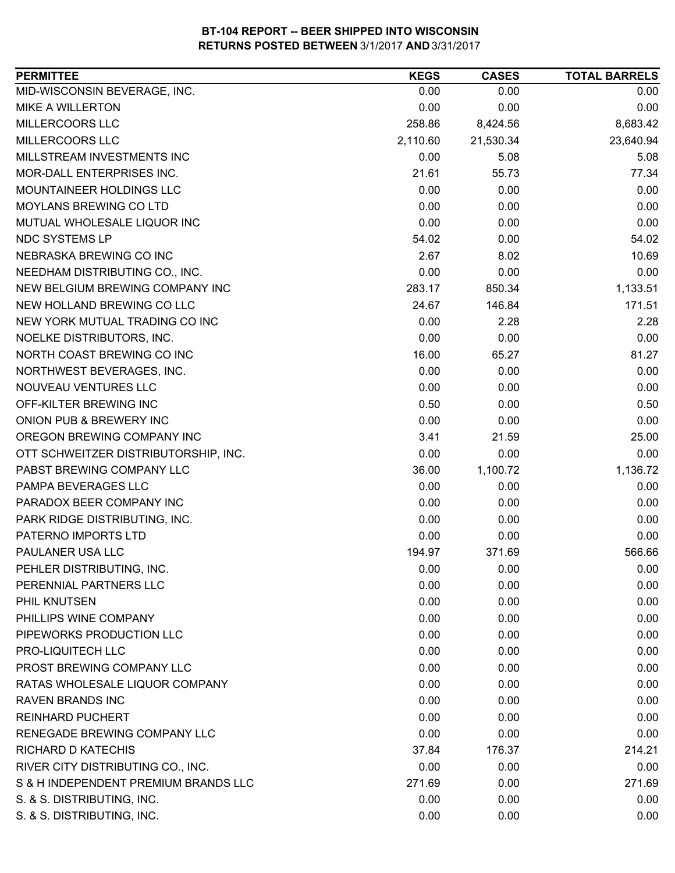| MID-WISCONSIN BEVERAGE, INC.<br>0.00<br>0.00<br>0.00<br><b>MIKE A WILLERTON</b><br>0.00<br>0.00<br>0.00<br>MILLERCOORS LLC<br>258.86<br>8,683.42<br>8,424.56<br>MILLERCOORS LLC<br>2,110.60<br>23,640.94<br>21,530.34<br>MILLSTREAM INVESTMENTS INC<br>0.00<br>5.08<br>5.08<br>MOR-DALL ENTERPRISES INC.<br>21.61<br>77.34<br>55.73<br>MOUNTAINEER HOLDINGS LLC<br>0.00<br>0.00<br>0.00<br>0.00<br><b>MOYLANS BREWING CO LTD</b><br>0.00<br>0.00<br>0.00<br>MUTUAL WHOLESALE LIQUOR INC<br>0.00<br>0.00<br>NDC SYSTEMS LP<br>54.02<br>0.00<br>54.02<br>NEBRASKA BREWING CO INC<br>2.67<br>8.02<br>10.69<br>0.00<br>0.00<br>0.00<br>NEEDHAM DISTRIBUTING CO., INC.<br>NEW BELGIUM BREWING COMPANY INC<br>283.17<br>850.34<br>1,133.51<br>NEW HOLLAND BREWING CO LLC<br>24.67<br>146.84<br>171.51<br>0.00<br>2.28<br>NEW YORK MUTUAL TRADING CO INC<br>2.28<br>0.00<br>NOELKE DISTRIBUTORS, INC.<br>0.00<br>0.00<br>16.00<br>NORTH COAST BREWING CO INC<br>65.27<br>81.27<br>NORTHWEST BEVERAGES, INC.<br>0.00<br>0.00<br>0.00<br>0.00<br>NOUVEAU VENTURES LLC<br>0.00<br>0.00<br>OFF-KILTER BREWING INC<br>0.50<br>0.00<br>0.50<br>0.00<br>ONION PUB & BREWERY INC<br>0.00<br>0.00<br>OREGON BREWING COMPANY INC<br>3.41<br>21.59<br>25.00<br>OTT SCHWEITZER DISTRIBUTORSHIP, INC.<br>0.00<br>0.00<br>0.00<br>PABST BREWING COMPANY LLC<br>1,100.72<br>1,136.72<br>36.00<br>0.00<br>0.00<br>0.00<br>PAMPA BEVERAGES LLC<br>PARADOX BEER COMPANY INC<br>0.00<br>0.00<br>0.00<br>PARK RIDGE DISTRIBUTING, INC.<br>0.00<br>0.00<br>0.00<br>PATERNO IMPORTS LTD<br>0.00<br>0.00<br>0.00<br>PAULANER USA LLC<br>371.69<br>566.66<br>194.97<br>PEHLER DISTRIBUTING, INC.<br>0.00<br>0.00<br>0.00<br>PERENNIAL PARTNERS LLC<br>0.00<br>0.00<br>0.00<br>PHIL KNUTSEN<br>0.00<br>0.00<br>0.00<br>PHILLIPS WINE COMPANY<br>0.00<br>0.00<br>0.00<br>PIPEWORKS PRODUCTION LLC<br>0.00<br>0.00<br>0.00<br>PRO-LIQUITECH LLC<br>0.00<br>0.00<br>0.00<br>PROST BREWING COMPANY LLC<br>0.00<br>0.00<br>0.00<br>RATAS WHOLESALE LIQUOR COMPANY<br>0.00<br>0.00<br>0.00<br><b>RAVEN BRANDS INC</b><br>0.00<br>0.00<br>0.00<br><b>REINHARD PUCHERT</b><br>0.00<br>0.00<br>0.00<br>RENEGADE BREWING COMPANY LLC<br>0.00<br>0.00<br>0.00<br><b>RICHARD D KATECHIS</b><br>214.21<br>37.84<br>176.37<br>RIVER CITY DISTRIBUTING CO., INC.<br>0.00<br>0.00<br>0.00<br>271.69<br>S & H INDEPENDENT PREMIUM BRANDS LLC<br>271.69<br>0.00<br>S. & S. DISTRIBUTING, INC.<br>0.00<br>0.00<br>0.00<br>S. & S. DISTRIBUTING, INC.<br>0.00<br>0.00<br>0.00 | <b>PERMITTEE</b> | <b>KEGS</b> | <b>CASES</b> | <b>TOTAL BARRELS</b> |
|---------------------------------------------------------------------------------------------------------------------------------------------------------------------------------------------------------------------------------------------------------------------------------------------------------------------------------------------------------------------------------------------------------------------------------------------------------------------------------------------------------------------------------------------------------------------------------------------------------------------------------------------------------------------------------------------------------------------------------------------------------------------------------------------------------------------------------------------------------------------------------------------------------------------------------------------------------------------------------------------------------------------------------------------------------------------------------------------------------------------------------------------------------------------------------------------------------------------------------------------------------------------------------------------------------------------------------------------------------------------------------------------------------------------------------------------------------------------------------------------------------------------------------------------------------------------------------------------------------------------------------------------------------------------------------------------------------------------------------------------------------------------------------------------------------------------------------------------------------------------------------------------------------------------------------------------------------------------------------------------------------------------------------------------------------------------------------------------------------------------------------------------------------------------------------------------------------------------------------------------------------------------------------------------------------------------------------------------------------------------------------------------------------------------------------------------------------------------------------------------------------------------------|------------------|-------------|--------------|----------------------|
|                                                                                                                                                                                                                                                                                                                                                                                                                                                                                                                                                                                                                                                                                                                                                                                                                                                                                                                                                                                                                                                                                                                                                                                                                                                                                                                                                                                                                                                                                                                                                                                                                                                                                                                                                                                                                                                                                                                                                                                                                                                                                                                                                                                                                                                                                                                                                                                                                                                                                                                           |                  |             |              |                      |
|                                                                                                                                                                                                                                                                                                                                                                                                                                                                                                                                                                                                                                                                                                                                                                                                                                                                                                                                                                                                                                                                                                                                                                                                                                                                                                                                                                                                                                                                                                                                                                                                                                                                                                                                                                                                                                                                                                                                                                                                                                                                                                                                                                                                                                                                                                                                                                                                                                                                                                                           |                  |             |              |                      |
|                                                                                                                                                                                                                                                                                                                                                                                                                                                                                                                                                                                                                                                                                                                                                                                                                                                                                                                                                                                                                                                                                                                                                                                                                                                                                                                                                                                                                                                                                                                                                                                                                                                                                                                                                                                                                                                                                                                                                                                                                                                                                                                                                                                                                                                                                                                                                                                                                                                                                                                           |                  |             |              |                      |
|                                                                                                                                                                                                                                                                                                                                                                                                                                                                                                                                                                                                                                                                                                                                                                                                                                                                                                                                                                                                                                                                                                                                                                                                                                                                                                                                                                                                                                                                                                                                                                                                                                                                                                                                                                                                                                                                                                                                                                                                                                                                                                                                                                                                                                                                                                                                                                                                                                                                                                                           |                  |             |              |                      |
|                                                                                                                                                                                                                                                                                                                                                                                                                                                                                                                                                                                                                                                                                                                                                                                                                                                                                                                                                                                                                                                                                                                                                                                                                                                                                                                                                                                                                                                                                                                                                                                                                                                                                                                                                                                                                                                                                                                                                                                                                                                                                                                                                                                                                                                                                                                                                                                                                                                                                                                           |                  |             |              |                      |
|                                                                                                                                                                                                                                                                                                                                                                                                                                                                                                                                                                                                                                                                                                                                                                                                                                                                                                                                                                                                                                                                                                                                                                                                                                                                                                                                                                                                                                                                                                                                                                                                                                                                                                                                                                                                                                                                                                                                                                                                                                                                                                                                                                                                                                                                                                                                                                                                                                                                                                                           |                  |             |              |                      |
|                                                                                                                                                                                                                                                                                                                                                                                                                                                                                                                                                                                                                                                                                                                                                                                                                                                                                                                                                                                                                                                                                                                                                                                                                                                                                                                                                                                                                                                                                                                                                                                                                                                                                                                                                                                                                                                                                                                                                                                                                                                                                                                                                                                                                                                                                                                                                                                                                                                                                                                           |                  |             |              |                      |
|                                                                                                                                                                                                                                                                                                                                                                                                                                                                                                                                                                                                                                                                                                                                                                                                                                                                                                                                                                                                                                                                                                                                                                                                                                                                                                                                                                                                                                                                                                                                                                                                                                                                                                                                                                                                                                                                                                                                                                                                                                                                                                                                                                                                                                                                                                                                                                                                                                                                                                                           |                  |             |              |                      |
|                                                                                                                                                                                                                                                                                                                                                                                                                                                                                                                                                                                                                                                                                                                                                                                                                                                                                                                                                                                                                                                                                                                                                                                                                                                                                                                                                                                                                                                                                                                                                                                                                                                                                                                                                                                                                                                                                                                                                                                                                                                                                                                                                                                                                                                                                                                                                                                                                                                                                                                           |                  |             |              |                      |
|                                                                                                                                                                                                                                                                                                                                                                                                                                                                                                                                                                                                                                                                                                                                                                                                                                                                                                                                                                                                                                                                                                                                                                                                                                                                                                                                                                                                                                                                                                                                                                                                                                                                                                                                                                                                                                                                                                                                                                                                                                                                                                                                                                                                                                                                                                                                                                                                                                                                                                                           |                  |             |              |                      |
|                                                                                                                                                                                                                                                                                                                                                                                                                                                                                                                                                                                                                                                                                                                                                                                                                                                                                                                                                                                                                                                                                                                                                                                                                                                                                                                                                                                                                                                                                                                                                                                                                                                                                                                                                                                                                                                                                                                                                                                                                                                                                                                                                                                                                                                                                                                                                                                                                                                                                                                           |                  |             |              |                      |
|                                                                                                                                                                                                                                                                                                                                                                                                                                                                                                                                                                                                                                                                                                                                                                                                                                                                                                                                                                                                                                                                                                                                                                                                                                                                                                                                                                                                                                                                                                                                                                                                                                                                                                                                                                                                                                                                                                                                                                                                                                                                                                                                                                                                                                                                                                                                                                                                                                                                                                                           |                  |             |              |                      |
|                                                                                                                                                                                                                                                                                                                                                                                                                                                                                                                                                                                                                                                                                                                                                                                                                                                                                                                                                                                                                                                                                                                                                                                                                                                                                                                                                                                                                                                                                                                                                                                                                                                                                                                                                                                                                                                                                                                                                                                                                                                                                                                                                                                                                                                                                                                                                                                                                                                                                                                           |                  |             |              |                      |
|                                                                                                                                                                                                                                                                                                                                                                                                                                                                                                                                                                                                                                                                                                                                                                                                                                                                                                                                                                                                                                                                                                                                                                                                                                                                                                                                                                                                                                                                                                                                                                                                                                                                                                                                                                                                                                                                                                                                                                                                                                                                                                                                                                                                                                                                                                                                                                                                                                                                                                                           |                  |             |              |                      |
|                                                                                                                                                                                                                                                                                                                                                                                                                                                                                                                                                                                                                                                                                                                                                                                                                                                                                                                                                                                                                                                                                                                                                                                                                                                                                                                                                                                                                                                                                                                                                                                                                                                                                                                                                                                                                                                                                                                                                                                                                                                                                                                                                                                                                                                                                                                                                                                                                                                                                                                           |                  |             |              |                      |
|                                                                                                                                                                                                                                                                                                                                                                                                                                                                                                                                                                                                                                                                                                                                                                                                                                                                                                                                                                                                                                                                                                                                                                                                                                                                                                                                                                                                                                                                                                                                                                                                                                                                                                                                                                                                                                                                                                                                                                                                                                                                                                                                                                                                                                                                                                                                                                                                                                                                                                                           |                  |             |              |                      |
|                                                                                                                                                                                                                                                                                                                                                                                                                                                                                                                                                                                                                                                                                                                                                                                                                                                                                                                                                                                                                                                                                                                                                                                                                                                                                                                                                                                                                                                                                                                                                                                                                                                                                                                                                                                                                                                                                                                                                                                                                                                                                                                                                                                                                                                                                                                                                                                                                                                                                                                           |                  |             |              |                      |
|                                                                                                                                                                                                                                                                                                                                                                                                                                                                                                                                                                                                                                                                                                                                                                                                                                                                                                                                                                                                                                                                                                                                                                                                                                                                                                                                                                                                                                                                                                                                                                                                                                                                                                                                                                                                                                                                                                                                                                                                                                                                                                                                                                                                                                                                                                                                                                                                                                                                                                                           |                  |             |              |                      |
|                                                                                                                                                                                                                                                                                                                                                                                                                                                                                                                                                                                                                                                                                                                                                                                                                                                                                                                                                                                                                                                                                                                                                                                                                                                                                                                                                                                                                                                                                                                                                                                                                                                                                                                                                                                                                                                                                                                                                                                                                                                                                                                                                                                                                                                                                                                                                                                                                                                                                                                           |                  |             |              |                      |
|                                                                                                                                                                                                                                                                                                                                                                                                                                                                                                                                                                                                                                                                                                                                                                                                                                                                                                                                                                                                                                                                                                                                                                                                                                                                                                                                                                                                                                                                                                                                                                                                                                                                                                                                                                                                                                                                                                                                                                                                                                                                                                                                                                                                                                                                                                                                                                                                                                                                                                                           |                  |             |              |                      |
|                                                                                                                                                                                                                                                                                                                                                                                                                                                                                                                                                                                                                                                                                                                                                                                                                                                                                                                                                                                                                                                                                                                                                                                                                                                                                                                                                                                                                                                                                                                                                                                                                                                                                                                                                                                                                                                                                                                                                                                                                                                                                                                                                                                                                                                                                                                                                                                                                                                                                                                           |                  |             |              |                      |
|                                                                                                                                                                                                                                                                                                                                                                                                                                                                                                                                                                                                                                                                                                                                                                                                                                                                                                                                                                                                                                                                                                                                                                                                                                                                                                                                                                                                                                                                                                                                                                                                                                                                                                                                                                                                                                                                                                                                                                                                                                                                                                                                                                                                                                                                                                                                                                                                                                                                                                                           |                  |             |              |                      |
|                                                                                                                                                                                                                                                                                                                                                                                                                                                                                                                                                                                                                                                                                                                                                                                                                                                                                                                                                                                                                                                                                                                                                                                                                                                                                                                                                                                                                                                                                                                                                                                                                                                                                                                                                                                                                                                                                                                                                                                                                                                                                                                                                                                                                                                                                                                                                                                                                                                                                                                           |                  |             |              |                      |
|                                                                                                                                                                                                                                                                                                                                                                                                                                                                                                                                                                                                                                                                                                                                                                                                                                                                                                                                                                                                                                                                                                                                                                                                                                                                                                                                                                                                                                                                                                                                                                                                                                                                                                                                                                                                                                                                                                                                                                                                                                                                                                                                                                                                                                                                                                                                                                                                                                                                                                                           |                  |             |              |                      |
|                                                                                                                                                                                                                                                                                                                                                                                                                                                                                                                                                                                                                                                                                                                                                                                                                                                                                                                                                                                                                                                                                                                                                                                                                                                                                                                                                                                                                                                                                                                                                                                                                                                                                                                                                                                                                                                                                                                                                                                                                                                                                                                                                                                                                                                                                                                                                                                                                                                                                                                           |                  |             |              |                      |
|                                                                                                                                                                                                                                                                                                                                                                                                                                                                                                                                                                                                                                                                                                                                                                                                                                                                                                                                                                                                                                                                                                                                                                                                                                                                                                                                                                                                                                                                                                                                                                                                                                                                                                                                                                                                                                                                                                                                                                                                                                                                                                                                                                                                                                                                                                                                                                                                                                                                                                                           |                  |             |              |                      |
|                                                                                                                                                                                                                                                                                                                                                                                                                                                                                                                                                                                                                                                                                                                                                                                                                                                                                                                                                                                                                                                                                                                                                                                                                                                                                                                                                                                                                                                                                                                                                                                                                                                                                                                                                                                                                                                                                                                                                                                                                                                                                                                                                                                                                                                                                                                                                                                                                                                                                                                           |                  |             |              |                      |
|                                                                                                                                                                                                                                                                                                                                                                                                                                                                                                                                                                                                                                                                                                                                                                                                                                                                                                                                                                                                                                                                                                                                                                                                                                                                                                                                                                                                                                                                                                                                                                                                                                                                                                                                                                                                                                                                                                                                                                                                                                                                                                                                                                                                                                                                                                                                                                                                                                                                                                                           |                  |             |              |                      |
|                                                                                                                                                                                                                                                                                                                                                                                                                                                                                                                                                                                                                                                                                                                                                                                                                                                                                                                                                                                                                                                                                                                                                                                                                                                                                                                                                                                                                                                                                                                                                                                                                                                                                                                                                                                                                                                                                                                                                                                                                                                                                                                                                                                                                                                                                                                                                                                                                                                                                                                           |                  |             |              |                      |
|                                                                                                                                                                                                                                                                                                                                                                                                                                                                                                                                                                                                                                                                                                                                                                                                                                                                                                                                                                                                                                                                                                                                                                                                                                                                                                                                                                                                                                                                                                                                                                                                                                                                                                                                                                                                                                                                                                                                                                                                                                                                                                                                                                                                                                                                                                                                                                                                                                                                                                                           |                  |             |              |                      |
|                                                                                                                                                                                                                                                                                                                                                                                                                                                                                                                                                                                                                                                                                                                                                                                                                                                                                                                                                                                                                                                                                                                                                                                                                                                                                                                                                                                                                                                                                                                                                                                                                                                                                                                                                                                                                                                                                                                                                                                                                                                                                                                                                                                                                                                                                                                                                                                                                                                                                                                           |                  |             |              |                      |
|                                                                                                                                                                                                                                                                                                                                                                                                                                                                                                                                                                                                                                                                                                                                                                                                                                                                                                                                                                                                                                                                                                                                                                                                                                                                                                                                                                                                                                                                                                                                                                                                                                                                                                                                                                                                                                                                                                                                                                                                                                                                                                                                                                                                                                                                                                                                                                                                                                                                                                                           |                  |             |              |                      |
|                                                                                                                                                                                                                                                                                                                                                                                                                                                                                                                                                                                                                                                                                                                                                                                                                                                                                                                                                                                                                                                                                                                                                                                                                                                                                                                                                                                                                                                                                                                                                                                                                                                                                                                                                                                                                                                                                                                                                                                                                                                                                                                                                                                                                                                                                                                                                                                                                                                                                                                           |                  |             |              |                      |
|                                                                                                                                                                                                                                                                                                                                                                                                                                                                                                                                                                                                                                                                                                                                                                                                                                                                                                                                                                                                                                                                                                                                                                                                                                                                                                                                                                                                                                                                                                                                                                                                                                                                                                                                                                                                                                                                                                                                                                                                                                                                                                                                                                                                                                                                                                                                                                                                                                                                                                                           |                  |             |              |                      |
|                                                                                                                                                                                                                                                                                                                                                                                                                                                                                                                                                                                                                                                                                                                                                                                                                                                                                                                                                                                                                                                                                                                                                                                                                                                                                                                                                                                                                                                                                                                                                                                                                                                                                                                                                                                                                                                                                                                                                                                                                                                                                                                                                                                                                                                                                                                                                                                                                                                                                                                           |                  |             |              |                      |
|                                                                                                                                                                                                                                                                                                                                                                                                                                                                                                                                                                                                                                                                                                                                                                                                                                                                                                                                                                                                                                                                                                                                                                                                                                                                                                                                                                                                                                                                                                                                                                                                                                                                                                                                                                                                                                                                                                                                                                                                                                                                                                                                                                                                                                                                                                                                                                                                                                                                                                                           |                  |             |              |                      |
|                                                                                                                                                                                                                                                                                                                                                                                                                                                                                                                                                                                                                                                                                                                                                                                                                                                                                                                                                                                                                                                                                                                                                                                                                                                                                                                                                                                                                                                                                                                                                                                                                                                                                                                                                                                                                                                                                                                                                                                                                                                                                                                                                                                                                                                                                                                                                                                                                                                                                                                           |                  |             |              |                      |
|                                                                                                                                                                                                                                                                                                                                                                                                                                                                                                                                                                                                                                                                                                                                                                                                                                                                                                                                                                                                                                                                                                                                                                                                                                                                                                                                                                                                                                                                                                                                                                                                                                                                                                                                                                                                                                                                                                                                                                                                                                                                                                                                                                                                                                                                                                                                                                                                                                                                                                                           |                  |             |              |                      |
|                                                                                                                                                                                                                                                                                                                                                                                                                                                                                                                                                                                                                                                                                                                                                                                                                                                                                                                                                                                                                                                                                                                                                                                                                                                                                                                                                                                                                                                                                                                                                                                                                                                                                                                                                                                                                                                                                                                                                                                                                                                                                                                                                                                                                                                                                                                                                                                                                                                                                                                           |                  |             |              |                      |
|                                                                                                                                                                                                                                                                                                                                                                                                                                                                                                                                                                                                                                                                                                                                                                                                                                                                                                                                                                                                                                                                                                                                                                                                                                                                                                                                                                                                                                                                                                                                                                                                                                                                                                                                                                                                                                                                                                                                                                                                                                                                                                                                                                                                                                                                                                                                                                                                                                                                                                                           |                  |             |              |                      |
|                                                                                                                                                                                                                                                                                                                                                                                                                                                                                                                                                                                                                                                                                                                                                                                                                                                                                                                                                                                                                                                                                                                                                                                                                                                                                                                                                                                                                                                                                                                                                                                                                                                                                                                                                                                                                                                                                                                                                                                                                                                                                                                                                                                                                                                                                                                                                                                                                                                                                                                           |                  |             |              |                      |
|                                                                                                                                                                                                                                                                                                                                                                                                                                                                                                                                                                                                                                                                                                                                                                                                                                                                                                                                                                                                                                                                                                                                                                                                                                                                                                                                                                                                                                                                                                                                                                                                                                                                                                                                                                                                                                                                                                                                                                                                                                                                                                                                                                                                                                                                                                                                                                                                                                                                                                                           |                  |             |              |                      |
|                                                                                                                                                                                                                                                                                                                                                                                                                                                                                                                                                                                                                                                                                                                                                                                                                                                                                                                                                                                                                                                                                                                                                                                                                                                                                                                                                                                                                                                                                                                                                                                                                                                                                                                                                                                                                                                                                                                                                                                                                                                                                                                                                                                                                                                                                                                                                                                                                                                                                                                           |                  |             |              |                      |
|                                                                                                                                                                                                                                                                                                                                                                                                                                                                                                                                                                                                                                                                                                                                                                                                                                                                                                                                                                                                                                                                                                                                                                                                                                                                                                                                                                                                                                                                                                                                                                                                                                                                                                                                                                                                                                                                                                                                                                                                                                                                                                                                                                                                                                                                                                                                                                                                                                                                                                                           |                  |             |              |                      |
|                                                                                                                                                                                                                                                                                                                                                                                                                                                                                                                                                                                                                                                                                                                                                                                                                                                                                                                                                                                                                                                                                                                                                                                                                                                                                                                                                                                                                                                                                                                                                                                                                                                                                                                                                                                                                                                                                                                                                                                                                                                                                                                                                                                                                                                                                                                                                                                                                                                                                                                           |                  |             |              |                      |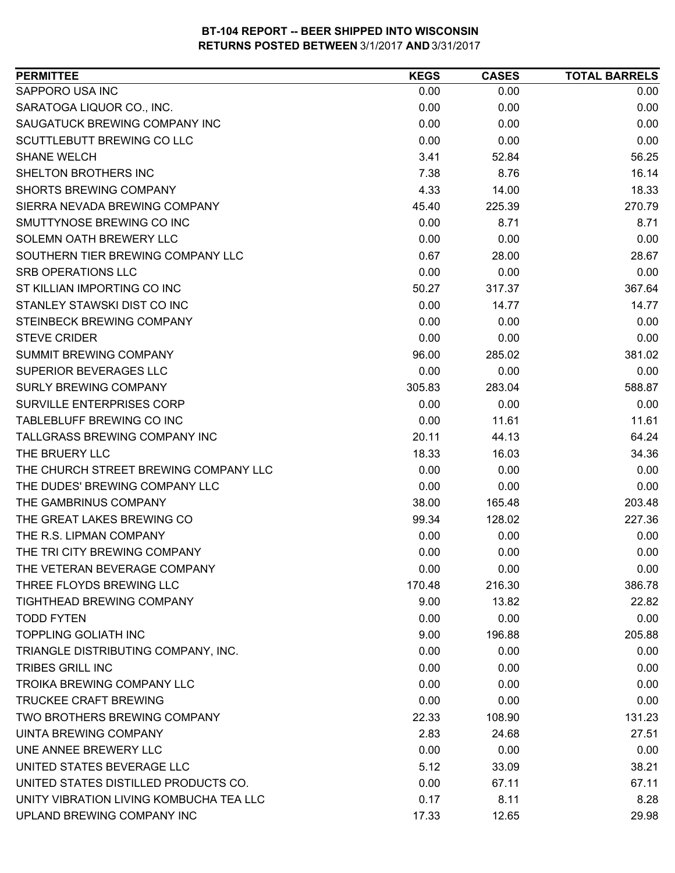| SAPPORO USA INC<br>0.00<br>0.00<br>0.00<br>SARATOGA LIQUOR CO., INC.<br>0.00<br>0.00<br>0.00<br>0.00<br>SAUGATUCK BREWING COMPANY INC<br>0.00<br>0.00<br>0.00<br>0.00<br>SCUTTLEBUTT BREWING CO LLC<br>0.00<br>56.25<br><b>SHANE WELCH</b><br>3.41<br>52.84<br>SHELTON BROTHERS INC<br>16.14<br>7.38<br>8.76<br><b>SHORTS BREWING COMPANY</b><br>4.33<br>18.33<br>14.00<br>270.79<br>SIERRA NEVADA BREWING COMPANY<br>45.40<br>225.39<br>SMUTTYNOSE BREWING CO INC<br>0.00<br>8.71<br>8.71<br>SOLEMN OATH BREWERY LLC<br>0.00<br>0.00<br>0.00<br>SOUTHERN TIER BREWING COMPANY LLC<br>0.67<br>28.67<br>28.00<br>0.00<br>0.00<br>SRB OPERATIONS LLC<br>0.00<br>ST KILLIAN IMPORTING CO INC<br>367.64<br>50.27<br>317.37<br>STANLEY STAWSKI DIST CO INC<br>0.00<br>14.77<br>14.77<br>0.00<br>STEINBECK BREWING COMPANY<br>0.00<br>0.00<br><b>STEVE CRIDER</b><br>0.00<br>0.00<br>0.00<br>SUMMIT BREWING COMPANY<br>96.00<br>285.02<br>381.02<br><b>SUPERIOR BEVERAGES LLC</b><br>0.00<br>0.00<br>0.00<br><b>SURLY BREWING COMPANY</b><br>283.04<br>588.87<br>305.83<br>SURVILLE ENTERPRISES CORP<br>0.00<br>0.00<br>0.00<br>TABLEBLUFF BREWING CO INC<br>0.00<br>11.61<br>11.61<br>TALLGRASS BREWING COMPANY INC<br>64.24<br>20.11<br>44.13<br>THE BRUERY LLC<br>18.33<br>16.03<br>34.36<br>THE CHURCH STREET BREWING COMPANY LLC<br>0.00<br>0.00<br>0.00<br>THE DUDES' BREWING COMPANY LLC<br>0.00<br>0.00<br>0.00<br>THE GAMBRINUS COMPANY<br>203.48<br>38.00<br>165.48<br>THE GREAT LAKES BREWING CO<br>128.02<br>227.36<br>99.34<br>THE R.S. LIPMAN COMPANY<br>0.00<br>0.00<br>0.00<br>THE TRI CITY BREWING COMPANY<br>0.00<br>0.00<br>0.00<br>THE VETERAN BEVERAGE COMPANY<br>0.00<br>0.00<br>0.00<br>THREE FLOYDS BREWING LLC<br>170.48<br>216.30<br>386.78 |
|-----------------------------------------------------------------------------------------------------------------------------------------------------------------------------------------------------------------------------------------------------------------------------------------------------------------------------------------------------------------------------------------------------------------------------------------------------------------------------------------------------------------------------------------------------------------------------------------------------------------------------------------------------------------------------------------------------------------------------------------------------------------------------------------------------------------------------------------------------------------------------------------------------------------------------------------------------------------------------------------------------------------------------------------------------------------------------------------------------------------------------------------------------------------------------------------------------------------------------------------------------------------------------------------------------------------------------------------------------------------------------------------------------------------------------------------------------------------------------------------------------------------------------------------------------------------------------------------------------------------------------------------------------------------------------------------------------------------------------------------------------------------|
|                                                                                                                                                                                                                                                                                                                                                                                                                                                                                                                                                                                                                                                                                                                                                                                                                                                                                                                                                                                                                                                                                                                                                                                                                                                                                                                                                                                                                                                                                                                                                                                                                                                                                                                                                                 |
|                                                                                                                                                                                                                                                                                                                                                                                                                                                                                                                                                                                                                                                                                                                                                                                                                                                                                                                                                                                                                                                                                                                                                                                                                                                                                                                                                                                                                                                                                                                                                                                                                                                                                                                                                                 |
|                                                                                                                                                                                                                                                                                                                                                                                                                                                                                                                                                                                                                                                                                                                                                                                                                                                                                                                                                                                                                                                                                                                                                                                                                                                                                                                                                                                                                                                                                                                                                                                                                                                                                                                                                                 |
|                                                                                                                                                                                                                                                                                                                                                                                                                                                                                                                                                                                                                                                                                                                                                                                                                                                                                                                                                                                                                                                                                                                                                                                                                                                                                                                                                                                                                                                                                                                                                                                                                                                                                                                                                                 |
|                                                                                                                                                                                                                                                                                                                                                                                                                                                                                                                                                                                                                                                                                                                                                                                                                                                                                                                                                                                                                                                                                                                                                                                                                                                                                                                                                                                                                                                                                                                                                                                                                                                                                                                                                                 |
|                                                                                                                                                                                                                                                                                                                                                                                                                                                                                                                                                                                                                                                                                                                                                                                                                                                                                                                                                                                                                                                                                                                                                                                                                                                                                                                                                                                                                                                                                                                                                                                                                                                                                                                                                                 |
|                                                                                                                                                                                                                                                                                                                                                                                                                                                                                                                                                                                                                                                                                                                                                                                                                                                                                                                                                                                                                                                                                                                                                                                                                                                                                                                                                                                                                                                                                                                                                                                                                                                                                                                                                                 |
|                                                                                                                                                                                                                                                                                                                                                                                                                                                                                                                                                                                                                                                                                                                                                                                                                                                                                                                                                                                                                                                                                                                                                                                                                                                                                                                                                                                                                                                                                                                                                                                                                                                                                                                                                                 |
|                                                                                                                                                                                                                                                                                                                                                                                                                                                                                                                                                                                                                                                                                                                                                                                                                                                                                                                                                                                                                                                                                                                                                                                                                                                                                                                                                                                                                                                                                                                                                                                                                                                                                                                                                                 |
|                                                                                                                                                                                                                                                                                                                                                                                                                                                                                                                                                                                                                                                                                                                                                                                                                                                                                                                                                                                                                                                                                                                                                                                                                                                                                                                                                                                                                                                                                                                                                                                                                                                                                                                                                                 |
|                                                                                                                                                                                                                                                                                                                                                                                                                                                                                                                                                                                                                                                                                                                                                                                                                                                                                                                                                                                                                                                                                                                                                                                                                                                                                                                                                                                                                                                                                                                                                                                                                                                                                                                                                                 |
|                                                                                                                                                                                                                                                                                                                                                                                                                                                                                                                                                                                                                                                                                                                                                                                                                                                                                                                                                                                                                                                                                                                                                                                                                                                                                                                                                                                                                                                                                                                                                                                                                                                                                                                                                                 |
|                                                                                                                                                                                                                                                                                                                                                                                                                                                                                                                                                                                                                                                                                                                                                                                                                                                                                                                                                                                                                                                                                                                                                                                                                                                                                                                                                                                                                                                                                                                                                                                                                                                                                                                                                                 |
|                                                                                                                                                                                                                                                                                                                                                                                                                                                                                                                                                                                                                                                                                                                                                                                                                                                                                                                                                                                                                                                                                                                                                                                                                                                                                                                                                                                                                                                                                                                                                                                                                                                                                                                                                                 |
|                                                                                                                                                                                                                                                                                                                                                                                                                                                                                                                                                                                                                                                                                                                                                                                                                                                                                                                                                                                                                                                                                                                                                                                                                                                                                                                                                                                                                                                                                                                                                                                                                                                                                                                                                                 |
|                                                                                                                                                                                                                                                                                                                                                                                                                                                                                                                                                                                                                                                                                                                                                                                                                                                                                                                                                                                                                                                                                                                                                                                                                                                                                                                                                                                                                                                                                                                                                                                                                                                                                                                                                                 |
|                                                                                                                                                                                                                                                                                                                                                                                                                                                                                                                                                                                                                                                                                                                                                                                                                                                                                                                                                                                                                                                                                                                                                                                                                                                                                                                                                                                                                                                                                                                                                                                                                                                                                                                                                                 |
|                                                                                                                                                                                                                                                                                                                                                                                                                                                                                                                                                                                                                                                                                                                                                                                                                                                                                                                                                                                                                                                                                                                                                                                                                                                                                                                                                                                                                                                                                                                                                                                                                                                                                                                                                                 |
|                                                                                                                                                                                                                                                                                                                                                                                                                                                                                                                                                                                                                                                                                                                                                                                                                                                                                                                                                                                                                                                                                                                                                                                                                                                                                                                                                                                                                                                                                                                                                                                                                                                                                                                                                                 |
|                                                                                                                                                                                                                                                                                                                                                                                                                                                                                                                                                                                                                                                                                                                                                                                                                                                                                                                                                                                                                                                                                                                                                                                                                                                                                                                                                                                                                                                                                                                                                                                                                                                                                                                                                                 |
|                                                                                                                                                                                                                                                                                                                                                                                                                                                                                                                                                                                                                                                                                                                                                                                                                                                                                                                                                                                                                                                                                                                                                                                                                                                                                                                                                                                                                                                                                                                                                                                                                                                                                                                                                                 |
|                                                                                                                                                                                                                                                                                                                                                                                                                                                                                                                                                                                                                                                                                                                                                                                                                                                                                                                                                                                                                                                                                                                                                                                                                                                                                                                                                                                                                                                                                                                                                                                                                                                                                                                                                                 |
|                                                                                                                                                                                                                                                                                                                                                                                                                                                                                                                                                                                                                                                                                                                                                                                                                                                                                                                                                                                                                                                                                                                                                                                                                                                                                                                                                                                                                                                                                                                                                                                                                                                                                                                                                                 |
|                                                                                                                                                                                                                                                                                                                                                                                                                                                                                                                                                                                                                                                                                                                                                                                                                                                                                                                                                                                                                                                                                                                                                                                                                                                                                                                                                                                                                                                                                                                                                                                                                                                                                                                                                                 |
|                                                                                                                                                                                                                                                                                                                                                                                                                                                                                                                                                                                                                                                                                                                                                                                                                                                                                                                                                                                                                                                                                                                                                                                                                                                                                                                                                                                                                                                                                                                                                                                                                                                                                                                                                                 |
|                                                                                                                                                                                                                                                                                                                                                                                                                                                                                                                                                                                                                                                                                                                                                                                                                                                                                                                                                                                                                                                                                                                                                                                                                                                                                                                                                                                                                                                                                                                                                                                                                                                                                                                                                                 |
|                                                                                                                                                                                                                                                                                                                                                                                                                                                                                                                                                                                                                                                                                                                                                                                                                                                                                                                                                                                                                                                                                                                                                                                                                                                                                                                                                                                                                                                                                                                                                                                                                                                                                                                                                                 |
|                                                                                                                                                                                                                                                                                                                                                                                                                                                                                                                                                                                                                                                                                                                                                                                                                                                                                                                                                                                                                                                                                                                                                                                                                                                                                                                                                                                                                                                                                                                                                                                                                                                                                                                                                                 |
|                                                                                                                                                                                                                                                                                                                                                                                                                                                                                                                                                                                                                                                                                                                                                                                                                                                                                                                                                                                                                                                                                                                                                                                                                                                                                                                                                                                                                                                                                                                                                                                                                                                                                                                                                                 |
|                                                                                                                                                                                                                                                                                                                                                                                                                                                                                                                                                                                                                                                                                                                                                                                                                                                                                                                                                                                                                                                                                                                                                                                                                                                                                                                                                                                                                                                                                                                                                                                                                                                                                                                                                                 |
|                                                                                                                                                                                                                                                                                                                                                                                                                                                                                                                                                                                                                                                                                                                                                                                                                                                                                                                                                                                                                                                                                                                                                                                                                                                                                                                                                                                                                                                                                                                                                                                                                                                                                                                                                                 |
| TIGHTHEAD BREWING COMPANY<br>9.00<br>13.82<br>22.82                                                                                                                                                                                                                                                                                                                                                                                                                                                                                                                                                                                                                                                                                                                                                                                                                                                                                                                                                                                                                                                                                                                                                                                                                                                                                                                                                                                                                                                                                                                                                                                                                                                                                                             |
| <b>TODD FYTEN</b><br>0.00<br>0.00<br>0.00                                                                                                                                                                                                                                                                                                                                                                                                                                                                                                                                                                                                                                                                                                                                                                                                                                                                                                                                                                                                                                                                                                                                                                                                                                                                                                                                                                                                                                                                                                                                                                                                                                                                                                                       |
| <b>TOPPLING GOLIATH INC</b><br>196.88<br>205.88<br>9.00                                                                                                                                                                                                                                                                                                                                                                                                                                                                                                                                                                                                                                                                                                                                                                                                                                                                                                                                                                                                                                                                                                                                                                                                                                                                                                                                                                                                                                                                                                                                                                                                                                                                                                         |
| TRIANGLE DISTRIBUTING COMPANY, INC.<br>0.00<br>0.00<br>0.00                                                                                                                                                                                                                                                                                                                                                                                                                                                                                                                                                                                                                                                                                                                                                                                                                                                                                                                                                                                                                                                                                                                                                                                                                                                                                                                                                                                                                                                                                                                                                                                                                                                                                                     |
| <b>TRIBES GRILL INC</b><br>0.00<br>0.00<br>0.00                                                                                                                                                                                                                                                                                                                                                                                                                                                                                                                                                                                                                                                                                                                                                                                                                                                                                                                                                                                                                                                                                                                                                                                                                                                                                                                                                                                                                                                                                                                                                                                                                                                                                                                 |
| TROIKA BREWING COMPANY LLC<br>0.00<br>0.00<br>0.00                                                                                                                                                                                                                                                                                                                                                                                                                                                                                                                                                                                                                                                                                                                                                                                                                                                                                                                                                                                                                                                                                                                                                                                                                                                                                                                                                                                                                                                                                                                                                                                                                                                                                                              |
| TRUCKEE CRAFT BREWING<br>0.00<br>0.00<br>0.00                                                                                                                                                                                                                                                                                                                                                                                                                                                                                                                                                                                                                                                                                                                                                                                                                                                                                                                                                                                                                                                                                                                                                                                                                                                                                                                                                                                                                                                                                                                                                                                                                                                                                                                   |
| TWO BROTHERS BREWING COMPANY<br>22.33<br>108.90<br>131.23                                                                                                                                                                                                                                                                                                                                                                                                                                                                                                                                                                                                                                                                                                                                                                                                                                                                                                                                                                                                                                                                                                                                                                                                                                                                                                                                                                                                                                                                                                                                                                                                                                                                                                       |
| UINTA BREWING COMPANY<br>2.83<br>27.51<br>24.68                                                                                                                                                                                                                                                                                                                                                                                                                                                                                                                                                                                                                                                                                                                                                                                                                                                                                                                                                                                                                                                                                                                                                                                                                                                                                                                                                                                                                                                                                                                                                                                                                                                                                                                 |
| UNE ANNEE BREWERY LLC<br>0.00<br>0.00<br>0.00                                                                                                                                                                                                                                                                                                                                                                                                                                                                                                                                                                                                                                                                                                                                                                                                                                                                                                                                                                                                                                                                                                                                                                                                                                                                                                                                                                                                                                                                                                                                                                                                                                                                                                                   |
| UNITED STATES BEVERAGE LLC<br>5.12<br>38.21<br>33.09                                                                                                                                                                                                                                                                                                                                                                                                                                                                                                                                                                                                                                                                                                                                                                                                                                                                                                                                                                                                                                                                                                                                                                                                                                                                                                                                                                                                                                                                                                                                                                                                                                                                                                            |
| UNITED STATES DISTILLED PRODUCTS CO.<br>0.00<br>67.11<br>67.11                                                                                                                                                                                                                                                                                                                                                                                                                                                                                                                                                                                                                                                                                                                                                                                                                                                                                                                                                                                                                                                                                                                                                                                                                                                                                                                                                                                                                                                                                                                                                                                                                                                                                                  |
| UNITY VIBRATION LIVING KOMBUCHA TEA LLC<br>0.17<br>8.28<br>8.11                                                                                                                                                                                                                                                                                                                                                                                                                                                                                                                                                                                                                                                                                                                                                                                                                                                                                                                                                                                                                                                                                                                                                                                                                                                                                                                                                                                                                                                                                                                                                                                                                                                                                                 |
| UPLAND BREWING COMPANY INC<br>17.33<br>12.65<br>29.98                                                                                                                                                                                                                                                                                                                                                                                                                                                                                                                                                                                                                                                                                                                                                                                                                                                                                                                                                                                                                                                                                                                                                                                                                                                                                                                                                                                                                                                                                                                                                                                                                                                                                                           |